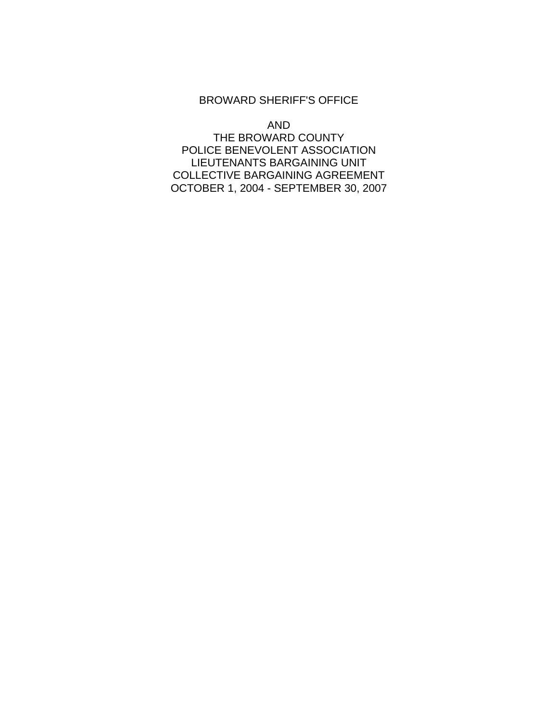#### BROWARD SHERIFF'S OFFICE

AND

THE BROWARD COUNTY POLICE BENEVOLENT ASSOCIATION LIEUTENANTS BARGAINING UNIT COLLECTIVE BARGAINING AGREEMENT OCTOBER 1, 2004 - SEPTEMBER 30, 2007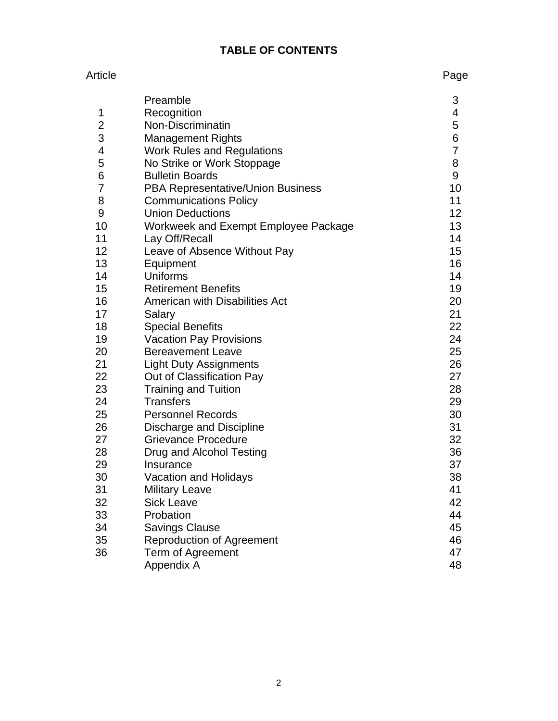# **TABLE OF CONTENTS**

#### Article **Page**

|                | Preamble                             | 3              |
|----------------|--------------------------------------|----------------|
| 1              | Recognition                          | 4              |
| 2              | Non-Discriminatin                    | 5              |
| 3              | <b>Management Rights</b>             | 6              |
| 4              | <b>Work Rules and Regulations</b>    | $\overline{7}$ |
| 5              | No Strike or Work Stoppage           | 8              |
| 6              | <b>Bulletin Boards</b>               | 9              |
| $\overline{7}$ | PBA Representative/Union Business    | 10             |
| 8              | <b>Communications Policy</b>         | 11             |
| 9              | <b>Union Deductions</b>              | 12             |
| 10             | Workweek and Exempt Employee Package | 13             |
| 11             | Lay Off/Recall                       | 14             |
| 12             | Leave of Absence Without Pay         | 15             |
| 13             | Equipment                            | 16             |
| 14             | Uniforms                             | 14             |
| 15             | <b>Retirement Benefits</b>           | 19             |
| 16             | American with Disabilities Act       | 20             |
| 17             | Salary                               | 21             |
| 18             | <b>Special Benefits</b>              | 22             |
| 19             | <b>Vacation Pay Provisions</b>       | 24             |
| 20             | <b>Bereavement Leave</b>             | 25             |
| 21             | <b>Light Duty Assignments</b>        | 26             |
| 22             | Out of Classification Pay            | 27             |
| 23             | <b>Training and Tuition</b>          | 28             |
| 24             | <b>Transfers</b>                     | 29             |
| 25             | <b>Personnel Records</b>             | 30             |
| 26             | Discharge and Discipline             | 31             |
| 27             | <b>Grievance Procedure</b>           | 32             |
| 28             | Drug and Alcohol Testing             | 36             |
| 29             | Insurance                            | 37             |
| 30             | Vacation and Holidays                | 38             |
| 31             | <b>Military Leave</b>                | 41             |
| 32             | <b>Sick Leave</b>                    | 42             |
| 33             | Probation                            | 44             |
| 34             | <b>Savings Clause</b>                | 45             |
| 35             | <b>Reproduction of Agreement</b>     | 46             |
| 36             | Term of Agreement                    | 47             |
|                | Appendix A                           | 48             |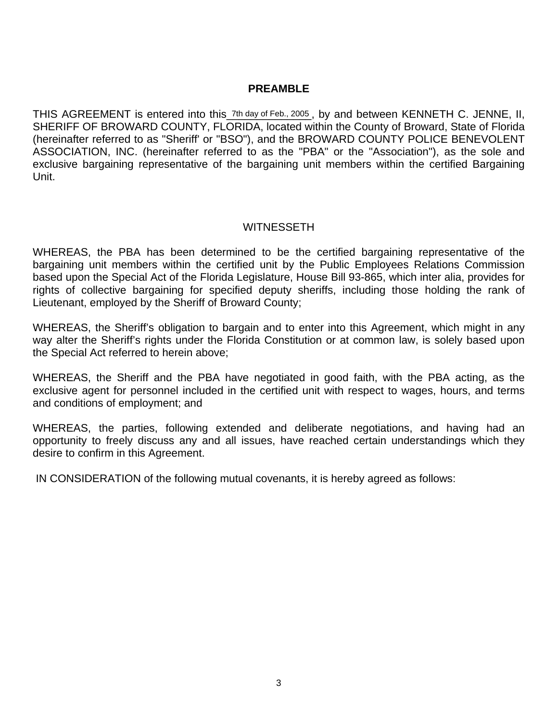#### **PREAMBLE**

THIS AGREEMENT is entered into this\_7th day of Feb., 2005, by and between KENNETH C. JENNE, II, SHERIFF OF BROWARD COUNTY, FLORIDA, located within the County of Broward, State of Florida (hereinafter referred to as "Sheriff' or "BSO"), and the BROWARD COUNTY POLICE BENEVOLENT ASSOCIATION, INC. (hereinafter referred to as the "PBA" or the "Association"), as the sole and exclusive bargaining representative of the bargaining unit members within the certified Bargaining Unit.

### WITNESSETH

WHEREAS, the PBA has been determined to be the certified bargaining representative of the bargaining unit members within the certified unit by the Public Employees Relations Commission based upon the Special Act of the Florida Legislature, House Bill 93-865, which inter alia, provides for rights of collective bargaining for specified deputy sheriffs, including those holding the rank of Lieutenant, employed by the Sheriff of Broward County;

WHEREAS, the Sheriff's obligation to bargain and to enter into this Agreement, which might in any way alter the Sheriff's rights under the Florida Constitution or at common law, is solely based upon the Special Act referred to herein above;

WHEREAS, the Sheriff and the PBA have negotiated in good faith, with the PBA acting, as the exclusive agent for personnel included in the certified unit with respect to wages, hours, and terms and conditions of employment; and

WHEREAS, the parties, following extended and deliberate negotiations, and having had an opportunity to freely discuss any and all issues, have reached certain understandings which they desire to confirm in this Agreement.

IN CONSIDERATION of the following mutual covenants, it is hereby agreed as follows: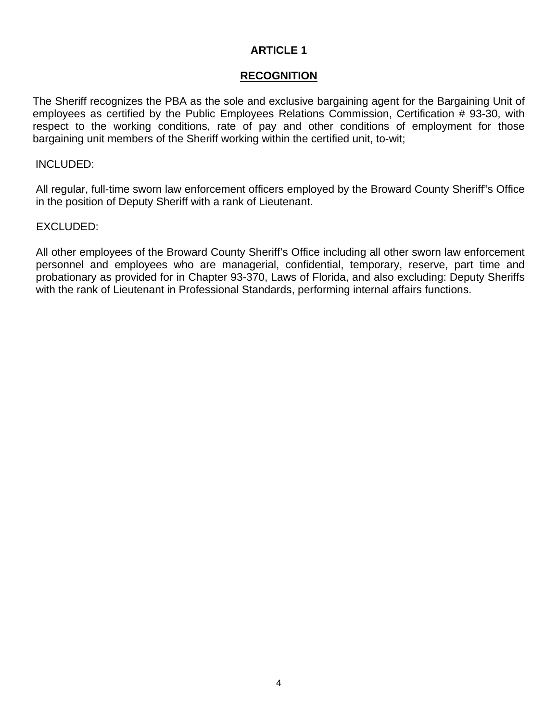### **RECOGNITION**

The Sheriff recognizes the PBA as the sole and exclusive bargaining agent for the Bargaining Unit of employees as certified by the Public Employees Relations Commission, Certification # 93-30, with respect to the working conditions, rate of pay and other conditions of employment for those bargaining unit members of the Sheriff working within the certified unit, to-wit;

#### INCLUDED:

All regular, full-time sworn law enforcement officers employed by the Broward County Sheriff"s Office in the position of Deputy Sheriff with a rank of Lieutenant.

### EXCLUDED:

All other employees of the Broward County Sheriff's Office including all other sworn law enforcement personnel and employees who are managerial, confidential, temporary, reserve, part time and probationary as provided for in Chapter 93-370, Laws of Florida, and also excluding: Deputy Sheriffs with the rank of Lieutenant in Professional Standards, performing internal affairs functions.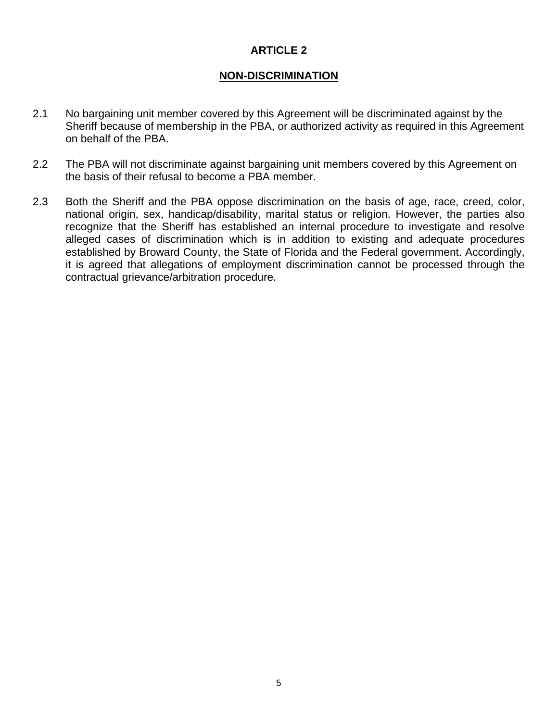# **NON-DISCRIMINATION**

- 2.1 No bargaining unit member covered by this Agreement will be discriminated against by the Sheriff because of membership in the PBA, or authorized activity as required in this Agreement on behalf of the PBA.
- 2.2 The PBA will not discriminate against bargaining unit members covered by this Agreement on the basis of their refusal to become a PBA member.
- 2.3 Both the Sheriff and the PBA oppose discrimination on the basis of age, race, creed, color, national origin, sex, handicap/disability, marital status or religion. However, the parties also recognize that the Sheriff has established an internal procedure to investigate and resolve alleged cases of discrimination which is in addition to existing and adequate procedures established by Broward County, the State of Florida and the Federal government. Accordingly, it is agreed that allegations of employment discrimination cannot be processed through the contractual grievance/arbitration procedure.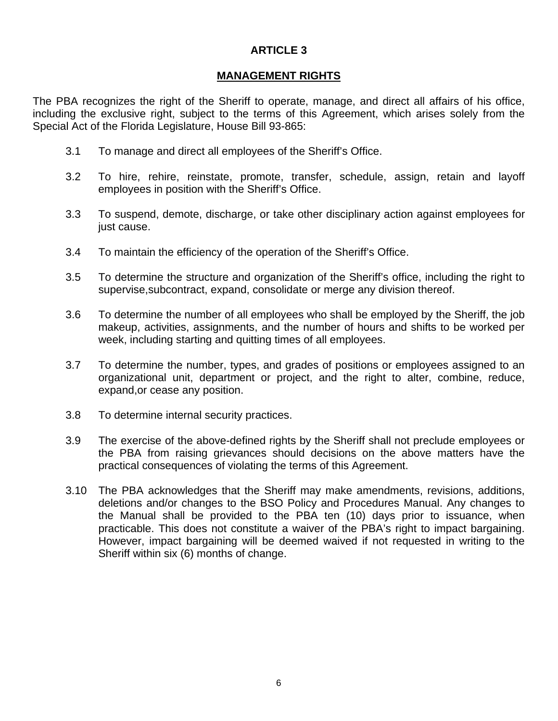#### **MANAGEMENT RIGHTS**

The PBA recognizes the right of the Sheriff to operate, manage, and direct all affairs of his office, including the exclusive right, subject to the terms of this Agreement, which arises solely from the Special Act of the Florida Legislature, House Bill 93-865:

- 3.1 To manage and direct all employees of the Sheriff's Office.
- 3.2 To hire, rehire, reinstate, promote, transfer, schedule, assign, retain and layoff employees in position with the Sheriff's Office.
- 3.3 To suspend, demote, discharge, or take other disciplinary action against employees for just cause.
- 3.4 To maintain the efficiency of the operation of the Sheriff's Office.
- 3.5 To determine the structure and organization of the Sheriff's office, including the right to supervise,subcontract, expand, consolidate or merge any division thereof.
- 3.6 To determine the number of all employees who shall be employed by the Sheriff, the job makeup, activities, assignments, and the number of hours and shifts to be worked per week, including starting and quitting times of all employees.
- 3.7 To determine the number, types, and grades of positions or employees assigned to an organizational unit, department or project, and the right to alter, combine, reduce, expand,or cease any position.
- 3.8 To determine internal security practices.
- 3.9 The exercise of the above-defined rights by the Sheriff shall not preclude employees or the PBA from raising grievances should decisions on the above matters have the practical consequences of violating the terms of this Agreement.
- 3.10 The PBA acknowledges that the Sheriff may make amendments, revisions, additions, deletions and/or changes to the BSO Policy and Procedures Manual. Any changes to the Manual shall be provided to the PBA ten (10) days prior to issuance, when practicable. This does not constitute a waiver of the PBA's right to impact bargaining. However, impact bargaining will be deemed waived if not requested in writing to the Sheriff within six (6) months of change.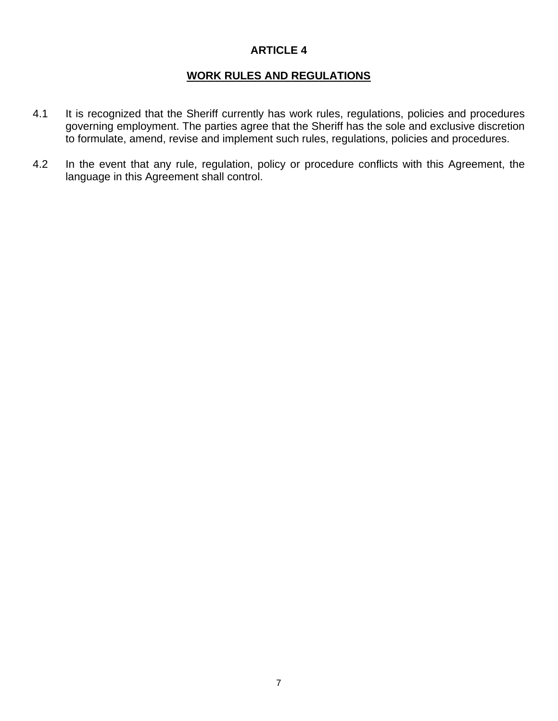# **WORK RULES AND REGULATIONS**

- 4.1 It is recognized that the Sheriff currently has work rules, regulations, policies and procedures governing employment. The parties agree that the Sheriff has the sole and exclusive discretion to formulate, amend, revise and implement such rules, regulations, policies and procedures.
- 4.2 In the event that any rule, regulation, policy or procedure conflicts with this Agreement, the language in this Agreement shall control.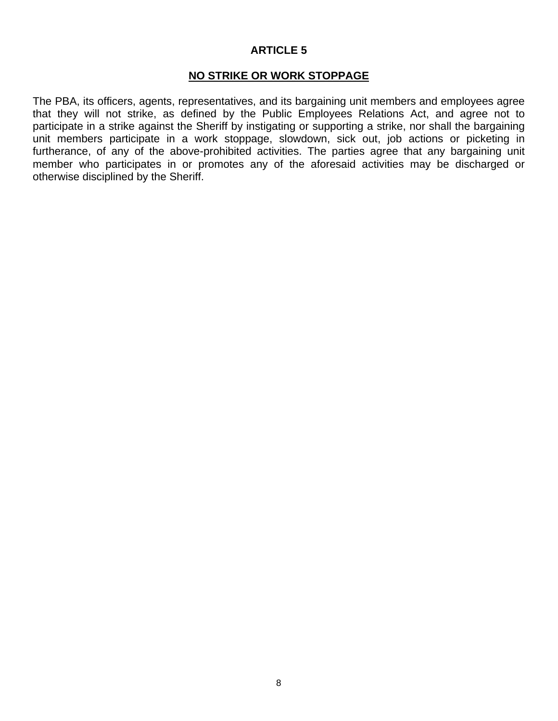# **NO STRIKE OR WORK STOPPAGE**

The PBA, its officers, agents, representatives, and its bargaining unit members and employees agree that they will not strike, as defined by the Public Employees Relations Act, and agree not to participate in a strike against the Sheriff by instigating or supporting a strike, nor shall the bargaining unit members participate in a work stoppage, slowdown, sick out, job actions or picketing in furtherance, of any of the above-prohibited activities. The parties agree that any bargaining unit member who participates in or promotes any of the aforesaid activities may be discharged or otherwise disciplined by the Sheriff.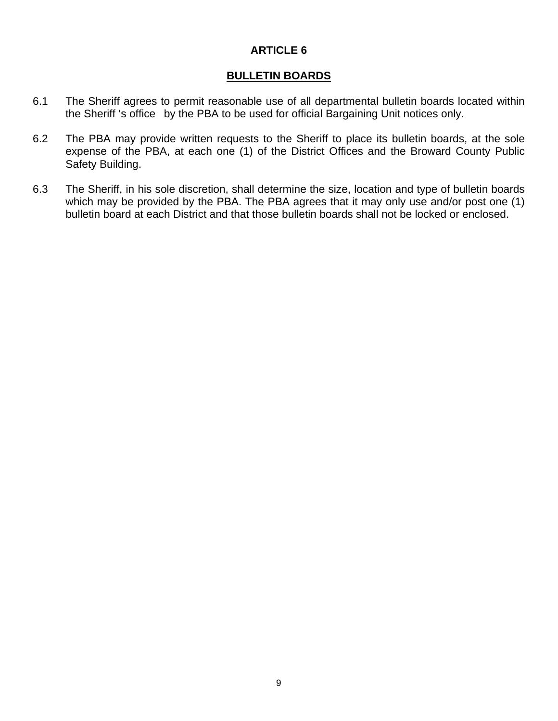# **BULLETIN BOARDS**

- 6.1 The Sheriff agrees to permit reasonable use of all departmental bulletin boards located within the Sheriff 's office by the PBA to be used for official Bargaining Unit notices only.
- 6.2 The PBA may provide written requests to the Sheriff to place its bulletin boards, at the sole expense of the PBA, at each one (1) of the District Offices and the Broward County Public Safety Building.
- 6.3 The Sheriff, in his sole discretion, shall determine the size, location and type of bulletin boards which may be provided by the PBA. The PBA agrees that it may only use and/or post one (1) bulletin board at each District and that those bulletin boards shall not be locked or enclosed.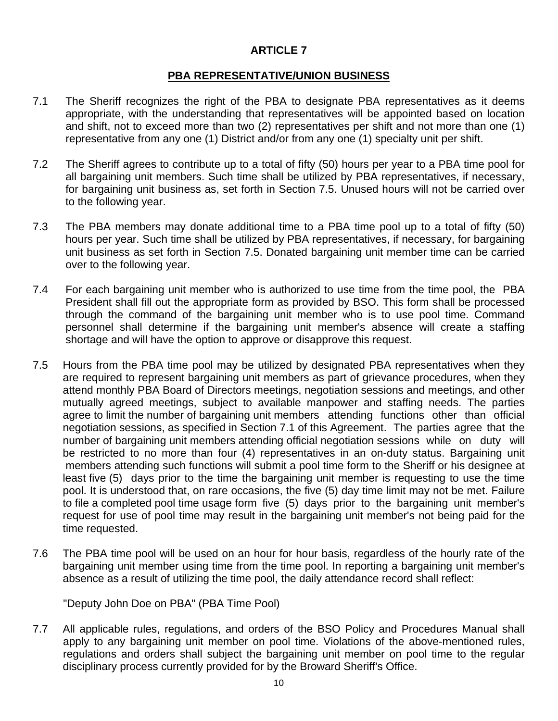# **PBA REPRESENTATIVE/UNION BUSINESS**

- 7.1 The Sheriff recognizes the right of the PBA to designate PBA representatives as it deems appropriate, with the understanding that representatives will be appointed based on location and shift, not to exceed more than two (2) representatives per shift and not more than one (1) representative from any one (1) District and/or from any one (1) specialty unit per shift.
- 7.2 The Sheriff agrees to contribute up to a total of fifty (50) hours per year to a PBA time pool for all bargaining unit members. Such time shall be utilized by PBA representatives, if necessary, for bargaining unit business as, set forth in Section 7.5. Unused hours will not be carried over to the following year.
- 7.3 The PBA members may donate additional time to a PBA time pool up to a total of fifty (50) hours per year. Such time shall be utilized by PBA representatives, if necessary, for bargaining unit business as set forth in Section 7.5. Donated bargaining unit member time can be carried over to the following year.
- 7.4 For each bargaining unit member who is authorized to use time from the time pool, the PBA President shall fill out the appropriate form as provided by BSO. This form shall be processed through the command of the bargaining unit member who is to use pool time. Command personnel shall determine if the bargaining unit member's absence will create a staffing shortage and will have the option to approve or disapprove this request.
- 7.5 Hours from the PBA time pool may be utilized by designated PBA representatives when they are required to represent bargaining unit members as part of grievance procedures, when they attend monthly PBA Board of Directors meetings, negotiation sessions and meetings, and other mutually agreed meetings, subject to available manpower and staffing needs. The parties agree to limit the number of bargaining unit members attending functions other than official negotiation sessions, as specified in Section 7.1 of this Agreement. The parties agree that the number of bargaining unit members attending official negotiation sessions while on duty will be restricted to no more than four (4) representatives in an on-duty status. Bargaining unit members attending such functions will submit a pool time form to the Sheriff or his designee at least five (5) days prior to the time the bargaining unit member is requesting to use the time pool. It is understood that, on rare occasions, the five (5) day time limit may not be met. Failure to file a completed pool time usage form five (5) days prior to the bargaining unit member's request for use of pool time may result in the bargaining unit member's not being paid for the time requested.
- 7.6 The PBA time pool will be used on an hour for hour basis, regardless of the hourly rate of the bargaining unit member using time from the time pool. In reporting a bargaining unit member's absence as a result of utilizing the time pool, the daily attendance record shall reflect:

"Deputy John Doe on PBA" (PBA Time Pool)

7.7 All applicable rules, regulations, and orders of the BSO Policy and Procedures Manual shall apply to any bargaining unit member on pool time. Violations of the above-mentioned rules, regulations and orders shall subject the bargaining unit member on pool time to the regular disciplinary process currently provided for by the Broward Sheriff's Office.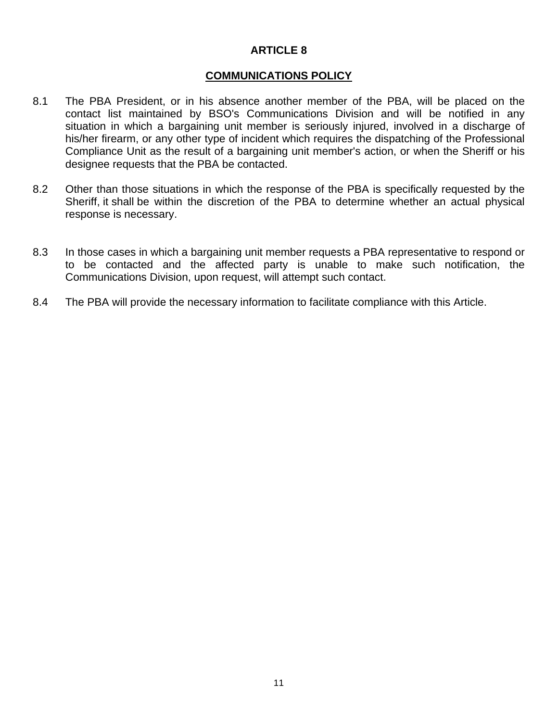#### **COMMUNICATIONS POLICY**

- 8.1 The PBA President, or in his absence another member of the PBA, will be placed on the contact list maintained by BSO's Communications Division and will be notified in any situation in which a bargaining unit member is seriously injured, involved in a discharge of his/her firearm, or any other type of incident which requires the dispatching of the Professional Compliance Unit as the result of a bargaining unit member's action, or when the Sheriff or his designee requests that the PBA be contacted.
- 8.2 Other than those situations in which the response of the PBA is specifically requested by the Sheriff, it shall be within the discretion of the PBA to determine whether an actual physical response is necessary.
- 8.3 In those cases in which a bargaining unit member requests a PBA representative to respond or to be contacted and the affected party is unable to make such notification, the Communications Division, upon request, will attempt such contact.
- 8.4 The PBA will provide the necessary information to facilitate compliance with this Article.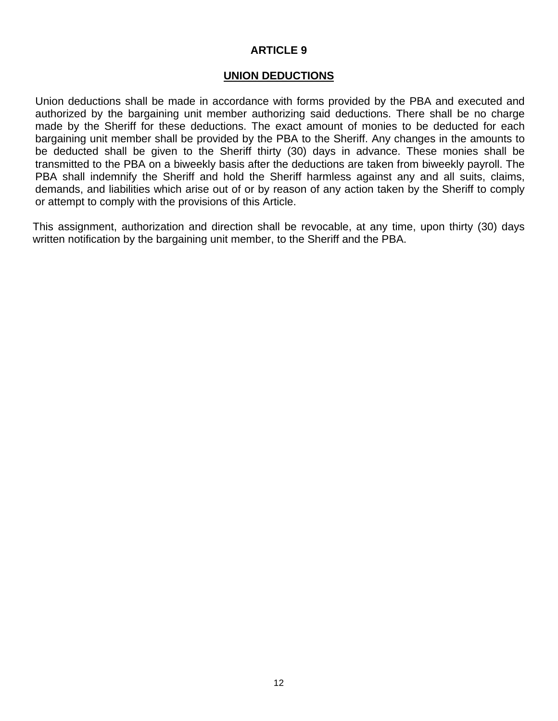#### **UNION DEDUCTIONS**

Union deductions shall be made in accordance with forms provided by the PBA and executed and authorized by the bargaining unit member authorizing said deductions. There shall be no charge made by the Sheriff for these deductions. The exact amount of monies to be deducted for each bargaining unit member shall be provided by the PBA to the Sheriff. Any changes in the amounts to be deducted shall be given to the Sheriff thirty (30) days in advance. These monies shall be transmitted to the PBA on a biweekly basis after the deductions are taken from biweekly payroll. The PBA shall indemnify the Sheriff and hold the Sheriff harmless against any and all suits, claims, demands, and liabilities which arise out of or by reason of any action taken by the Sheriff to comply or attempt to comply with the provisions of this Article.

This assignment, authorization and direction shall be revocable, at any time, upon thirty (30) days written notification by the bargaining unit member, to the Sheriff and the PBA.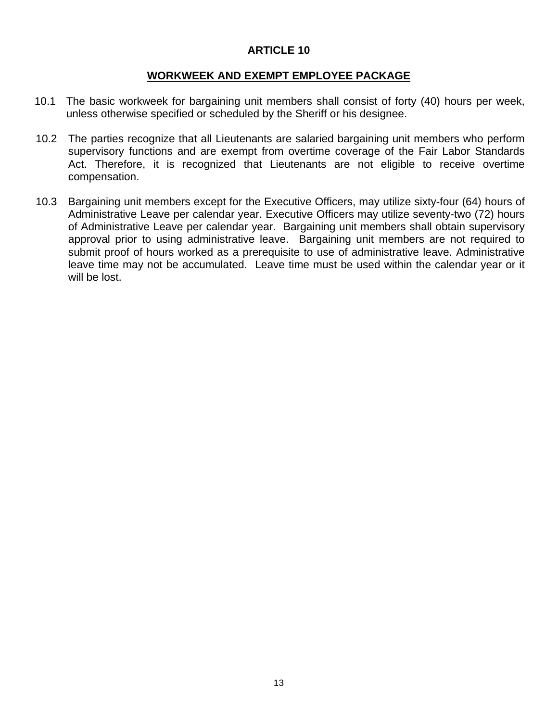#### **WORKWEEK AND EXEMPT EMPLOYEE PACKAGE**

- 10.1 The basic workweek for bargaining unit members shall consist of forty (40) hours per week, unless otherwise specified or scheduled by the Sheriff or his designee.
- 10.2 The parties recognize that all Lieutenants are salaried bargaining unit members who perform supervisory functions and are exempt from overtime coverage of the Fair Labor Standards Act. Therefore, it is recognized that Lieutenants are not eligible to receive overtime compensation.
- 10.3 Bargaining unit members except for the Executive Officers, may utilize sixty-four (64) hours of Administrative Leave per calendar year. Executive Officers may utilize seventy-two (72) hours of Administrative Leave per calendar year. Bargaining unit members shall obtain supervisory approval prior to using administrative leave. Bargaining unit members are not required to submit proof of hours worked as a prerequisite to use of administrative leave. Administrative leave time may not be accumulated. Leave time must be used within the calendar year or it will be lost.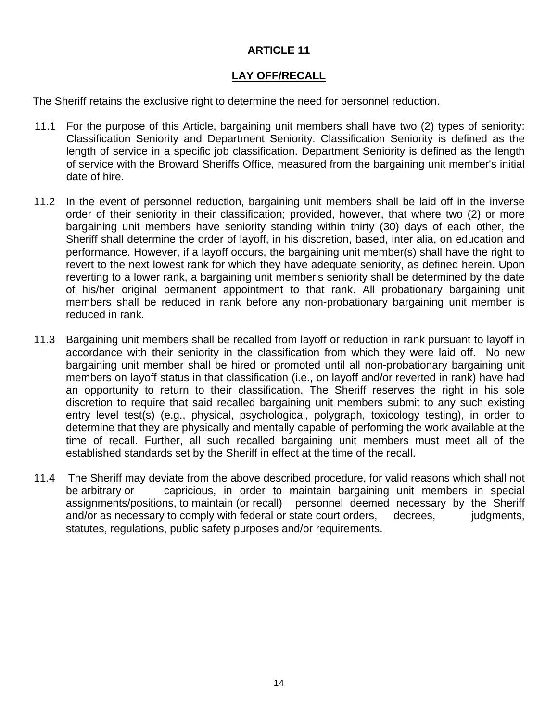# **LAY OFF/RECALL**

The Sheriff retains the exclusive right to determine the need for personnel reduction.

- 11.1 For the purpose of this Article, bargaining unit members shall have two (2) types of seniority: Classification Seniority and Department Seniority. Classification Seniority is defined as the length of service in a specific job classification. Department Seniority is defined as the length of service with the Broward Sheriffs Office, measured from the bargaining unit member's initial date of hire.
- 11.2 In the event of personnel reduction, bargaining unit members shall be laid off in the inverse order of their seniority in their classification; provided, however, that where two (2) or more bargaining unit members have seniority standing within thirty (30) days of each other, the Sheriff shall determine the order of layoff, in his discretion, based, inter alia, on education and performance. However, if a layoff occurs, the bargaining unit member(s) shall have the right to revert to the next lowest rank for which they have adequate seniority, as defined herein. Upon reverting to a lower rank, a bargaining unit member's seniority shall be determined by the date of his/her original permanent appointment to that rank. All probationary bargaining unit members shall be reduced in rank before any non-probationary bargaining unit member is reduced in rank.
- 11.3 Bargaining unit members shall be recalled from layoff or reduction in rank pursuant to layoff in accordance with their seniority in the classification from which they were laid off. No new bargaining unit member shall be hired or promoted until all non-probationary bargaining unit members on layoff status in that classification (i.e., on layoff and/or reverted in rank) have had an opportunity to return to their classification. The Sheriff reserves the right in his sole discretion to require that said recalled bargaining unit members submit to any such existing entry level test(s) (e.g., physical, psychological, polygraph, toxicology testing), in order to determine that they are physically and mentally capable of performing the work available at the time of recall. Further, all such recalled bargaining unit members must meet all of the established standards set by the Sheriff in effect at the time of the recall.
- 11.4 The Sheriff may deviate from the above described procedure, for valid reasons which shall not be arbitrary or capricious, in order to maintain bargaining unit members in special assignments/positions, to maintain (or recall) personnel deemed necessary by the Sheriff and/or as necessary to comply with federal or state court orders, decrees, judgments, statutes, regulations, public safety purposes and/or requirements.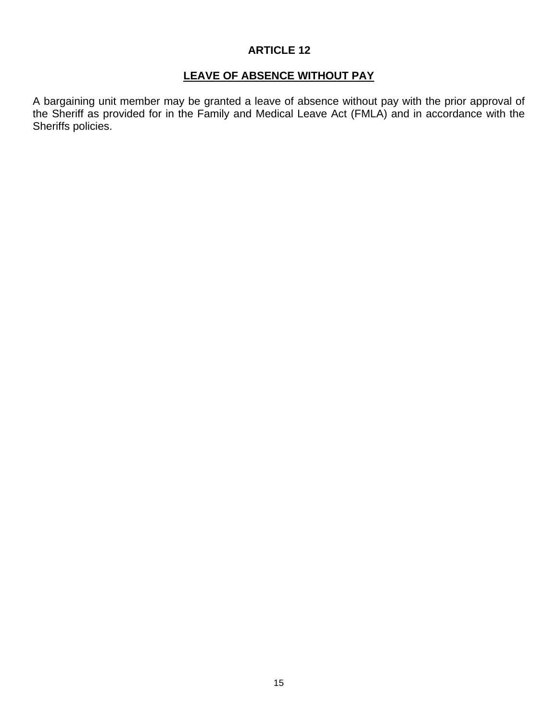# **LEAVE OF ABSENCE WITHOUT PAY**

A bargaining unit member may be granted a leave of absence without pay with the prior approval of the Sheriff as provided for in the Family and Medical Leave Act (FMLA) and in accordance with the Sheriffs policies.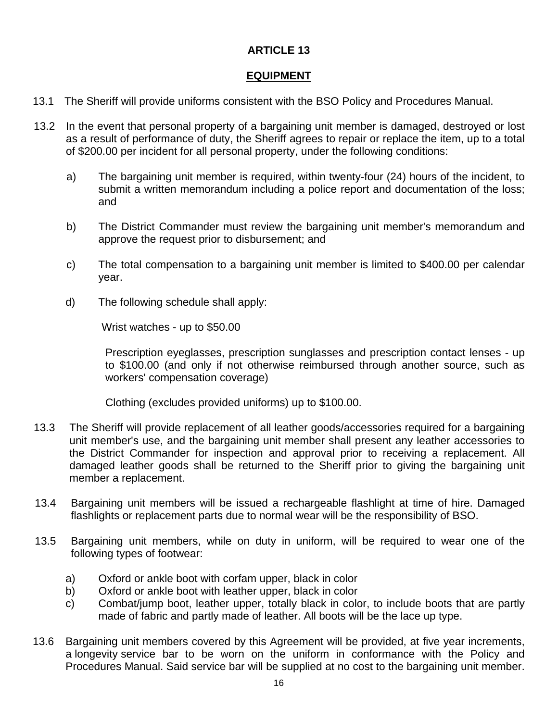# **EQUIPMENT**

- 13.1 The Sheriff will provide uniforms consistent with the BSO Policy and Procedures Manual.
- 13.2 In the event that personal property of a bargaining unit member is damaged, destroyed or lost as a result of performance of duty, the Sheriff agrees to repair or replace the item, up to a total of \$200.00 per incident for all personal property, under the following conditions:
	- a) The bargaining unit member is required, within twenty-four (24) hours of the incident, to submit a written memorandum including a police report and documentation of the loss; and
	- b) The District Commander must review the bargaining unit member's memorandum and approve the request prior to disbursement; and
	- c) The total compensation to a bargaining unit member is limited to \$400.00 per calendar year.
	- d) The following schedule shall apply:

Wrist watches - up to \$50.00

 Prescription eyeglasses, prescription sunglasses and prescription contact lenses - up to \$100.00 (and only if not otherwise reimbursed through another source, such as workers' compensation coverage)

Clothing (excludes provided uniforms) up to \$100.00.

- 13.3 The Sheriff will provide replacement of all leather goods/accessories required for a bargaining unit member's use, and the bargaining unit member shall present any leather accessories to the District Commander for inspection and approval prior to receiving a replacement. All damaged leather goods shall be returned to the Sheriff prior to giving the bargaining unit member a replacement.
- 13.4 Bargaining unit members will be issued a rechargeable flashlight at time of hire. Damaged flashlights or replacement parts due to normal wear will be the responsibility of BSO.
- 13.5 Bargaining unit members, while on duty in uniform, will be required to wear one of the following types of footwear:
	- a) Oxford or ankle boot with corfam upper, black in color
	- b) Oxford or ankle boot with leather upper, black in color
	- c) Combat/jump boot, leather upper, totally black in color, to include boots that are partly made of fabric and partly made of leather. All boots will be the lace up type.
- 13.6 Bargaining unit members covered by this Agreement will be provided, at five year increments, a longevity service bar to be worn on the uniform in conformance with the Policy and Procedures Manual. Said service bar will be supplied at no cost to the bargaining unit member.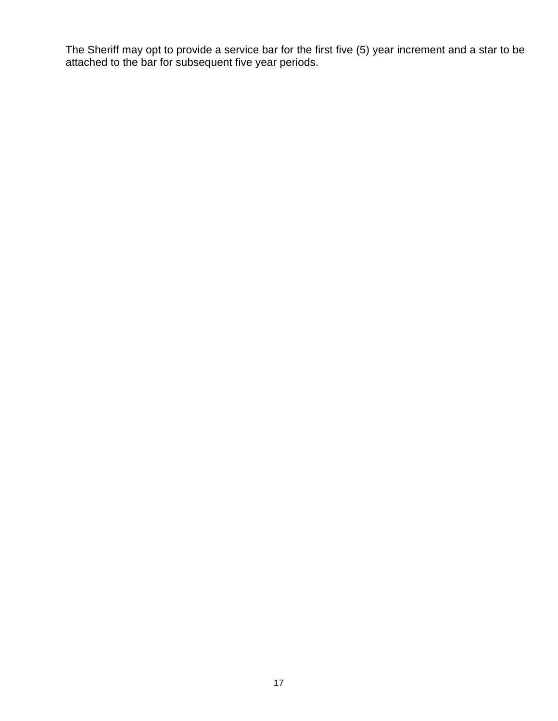The Sheriff may opt to provide a service bar for the first five (5) year increment and a star to be attached to the bar for subsequent five year periods.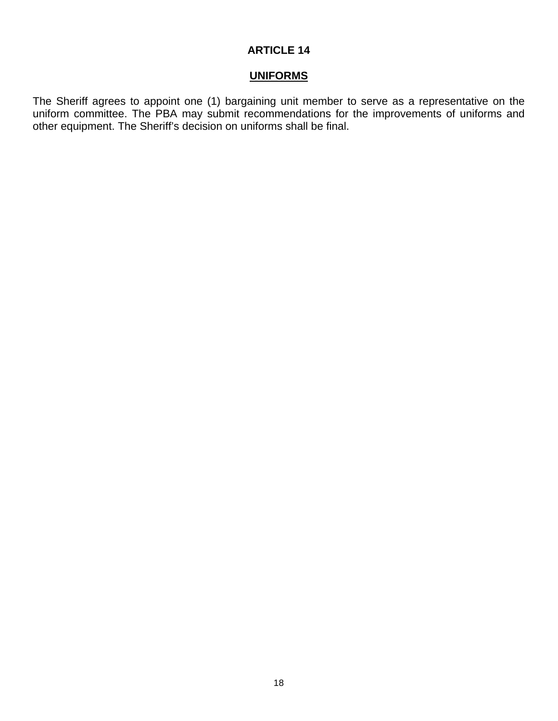# **UNIFORMS**

The Sheriff agrees to appoint one (1) bargaining unit member to serve as a representative on the uniform committee. The PBA may submit recommendations for the improvements of uniforms and other equipment. The Sheriff's decision on uniforms shall be final.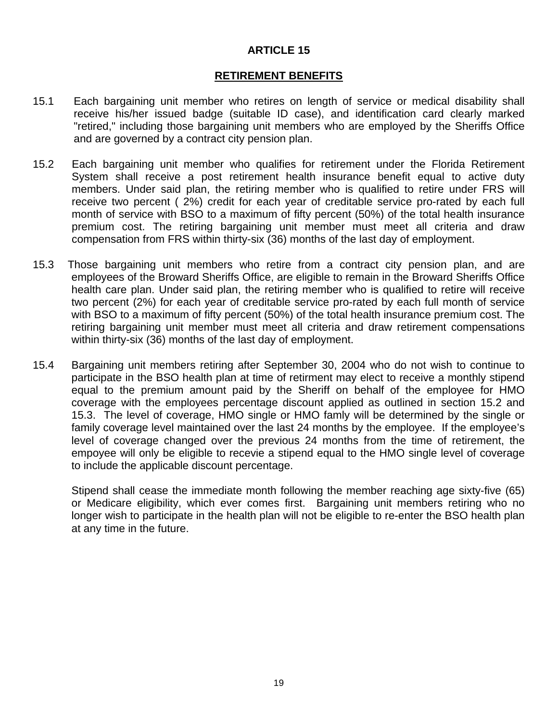#### **RETIREMENT BENEFITS**

- 15.1 Each bargaining unit member who retires on length of service or medical disability shall receive his/her issued badge (suitable ID case), and identification card clearly marked "retired," including those bargaining unit members who are employed by the Sheriffs Office and are governed by a contract city pension plan.
- 15.2 Each bargaining unit member who qualifies for retirement under the Florida Retirement System shall receive a post retirement health insurance benefit equal to active duty members. Under said plan, the retiring member who is qualified to retire under FRS will receive two percent ( 2%) credit for each year of creditable service pro-rated by each full month of service with BSO to a maximum of fifty percent (50%) of the total health insurance premium cost. The retiring bargaining unit member must meet all criteria and draw compensation from FRS within thirty-six (36) months of the last day of employment.
- 15.3 Those bargaining unit members who retire from a contract city pension plan, and are employees of the Broward Sheriffs Office, are eligible to remain in the Broward Sheriffs Office health care plan. Under said plan, the retiring member who is qualified to retire will receive two percent (2%) for each year of creditable service pro-rated by each full month of service with BSO to a maximum of fifty percent (50%) of the total health insurance premium cost. The retiring bargaining unit member must meet all criteria and draw retirement compensations within thirty-six (36) months of the last day of employment.
- 15.4 Bargaining unit members retiring after September 30, 2004 who do not wish to continue to participate in the BSO health plan at time of retirment may elect to receive a monthly stipend equal to the premium amount paid by the Sheriff on behalf of the employee for HMO coverage with the employees percentage discount applied as outlined in section 15.2 and 15.3. The level of coverage, HMO single or HMO famly will be determined by the single or family coverage level maintained over the last 24 months by the employee. If the employee's level of coverage changed over the previous 24 months from the time of retirement, the empoyee will only be eligible to recevie a stipend equal to the HMO single level of coverage to include the applicable discount percentage.

 Stipend shall cease the immediate month following the member reaching age sixty-five (65) or Medicare eligibility, which ever comes first. Bargaining unit members retiring who no longer wish to participate in the health plan will not be eligible to re-enter the BSO health plan at any time in the future.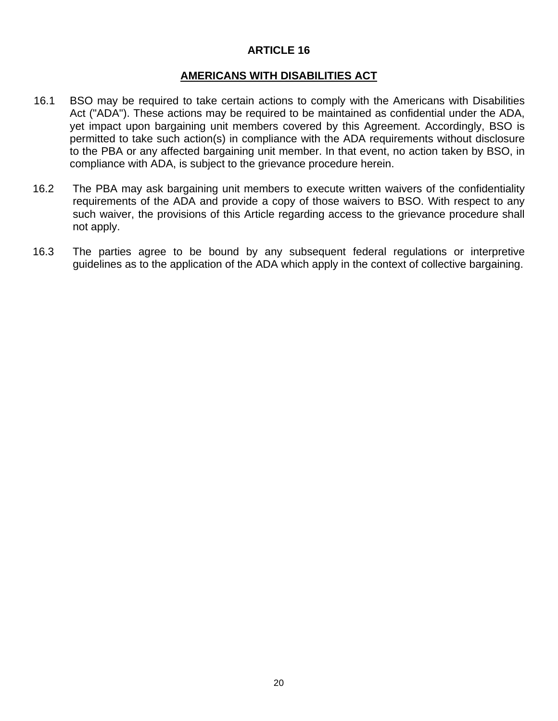#### **AMERICANS WITH DISABILITIES ACT**

- 16.1 BSO may be required to take certain actions to comply with the Americans with Disabilities Act ("ADA"). These actions may be required to be maintained as confidential under the ADA, yet impact upon bargaining unit members covered by this Agreement. Accordingly, BSO is permitted to take such action(s) in compliance with the ADA requirements without disclosure to the PBA or any affected bargaining unit member. In that event, no action taken by BSO, in compliance with ADA, is subject to the grievance procedure herein.
- 16.2 The PBA may ask bargaining unit members to execute written waivers of the confidentiality requirements of the ADA and provide a copy of those waivers to BSO. With respect to any such waiver, the provisions of this Article regarding access to the grievance procedure shall not apply.
- 16.3 The parties agree to be bound by any subsequent federal regulations or interpretive guidelines as to the application of the ADA which apply in the context of collective bargaining.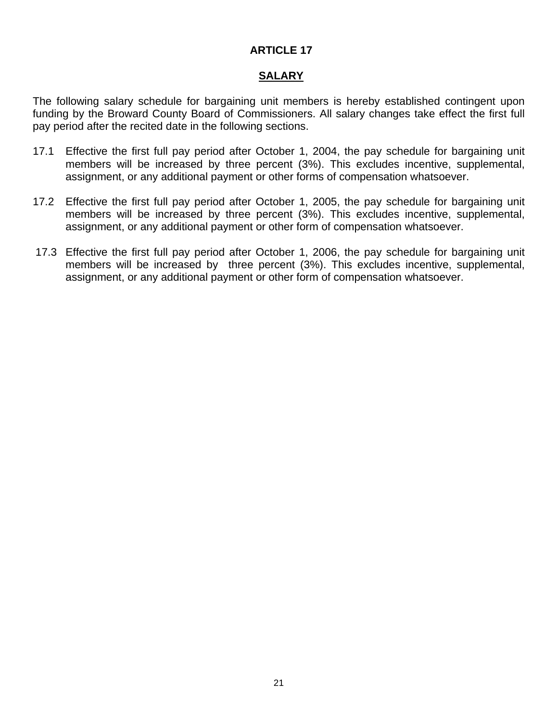# **SALARY**

The following salary schedule for bargaining unit members is hereby established contingent upon funding by the Broward County Board of Commissioners. All salary changes take effect the first full pay period after the recited date in the following sections.

- 17.1 Effective the first full pay period after October 1, 2004, the pay schedule for bargaining unit members will be increased by three percent (3%). This excludes incentive, supplemental, assignment, or any additional payment or other forms of compensation whatsoever.
- 17.2 Effective the first full pay period after October 1, 2005, the pay schedule for bargaining unit members will be increased by three percent (3%). This excludes incentive, supplemental, assignment, or any additional payment or other form of compensation whatsoever.
- 17.3 Effective the first full pay period after October 1, 2006, the pay schedule for bargaining unit members will be increased by three percent (3%). This excludes incentive, supplemental, assignment, or any additional payment or other form of compensation whatsoever.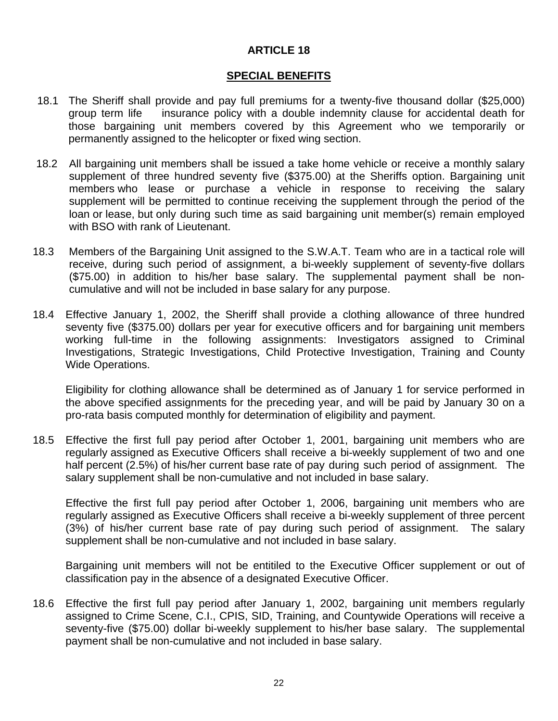### **SPECIAL BENEFITS**

- 18.1 The Sheriff shall provide and pay full premiums for a twenty-five thousand dollar (\$25,000) group term life insurance policy with a double indemnity clause for accidental death for those bargaining unit members covered by this Agreement who we temporarily or permanently assigned to the helicopter or fixed wing section.
- 18.2 All bargaining unit members shall be issued a take home vehicle or receive a monthly salary supplement of three hundred seventy five (\$375.00) at the Sheriffs option. Bargaining unit members who lease or purchase a vehicle in response to receiving the salary supplement will be permitted to continue receiving the supplement through the period of the loan or lease, but only during such time as said bargaining unit member(s) remain employed with BSO with rank of Lieutenant.
- 18.3 Members of the Bargaining Unit assigned to the S.W.A.T. Team who are in a tactical role will receive, during such period of assignment, a bi-weekly supplement of seventy-five dollars (\$75.00) in addition to his/her base salary. The supplemental payment shall be noncumulative and will not be included in base salary for any purpose.
- 18.4 Effective January 1, 2002, the Sheriff shall provide a clothing allowance of three hundred seventy five (\$375.00) dollars per year for executive officers and for bargaining unit members working full-time in the following assignments: Investigators assigned to Criminal Investigations, Strategic Investigations, Child Protective Investigation, Training and County Wide Operations.

Eligibility for clothing allowance shall be determined as of January 1 for service performed in the above specified assignments for the preceding year, and will be paid by January 30 on a pro-rata basis computed monthly for determination of eligibility and payment.

18.5 Effective the first full pay period after October 1, 2001, bargaining unit members who are regularly assigned as Executive Officers shall receive a bi-weekly supplement of two and one half percent (2.5%) of his/her current base rate of pay during such period of assignment. The salary supplement shall be non-cumulative and not included in base salary.

 Effective the first full pay period after October 1, 2006, bargaining unit members who are regularly assigned as Executive Officers shall receive a bi-weekly supplement of three percent (3%) of his/her current base rate of pay during such period of assignment. The salary supplement shall be non-cumulative and not included in base salary.

Bargaining unit members will not be entitiled to the Executive Officer supplement or out of classification pay in the absence of a designated Executive Officer.

18.6 Effective the first full pay period after January 1, 2002, bargaining unit members regularly assigned to Crime Scene, C.I., CPIS, SID, Training, and Countywide Operations will receive a seventy-five (\$75.00) dollar bi-weekly supplement to his/her base salary. The supplemental payment shall be non-cumulative and not included in base salary.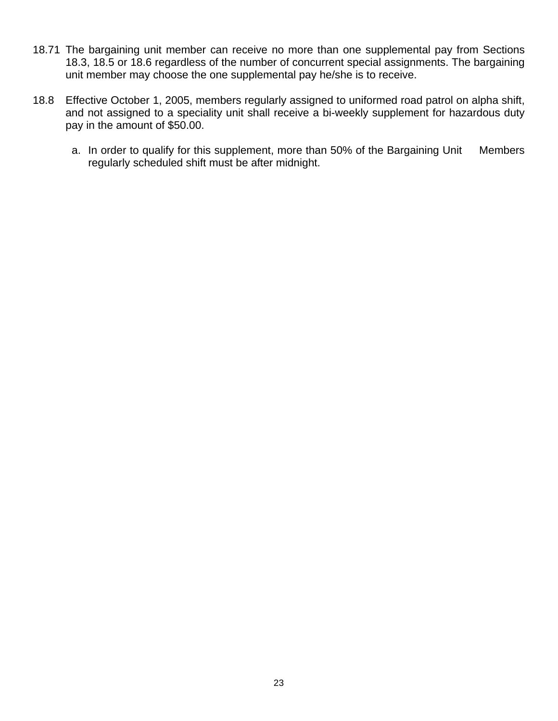- 18.71 The bargaining unit member can receive no more than one supplemental pay from Sections 18.3, 18.5 or 18.6 regardless of the number of concurrent special assignments. The bargaining unit member may choose the one supplemental pay he/she is to receive.
- 18.8 Effective October 1, 2005, members regularly assigned to uniformed road patrol on alpha shift, and not assigned to a speciality unit shall receive a bi-weekly supplement for hazardous duty pay in the amount of \$50.00.
	- a. In order to qualify for this supplement, more than 50% of the Bargaining Unit Members regularly scheduled shift must be after midnight.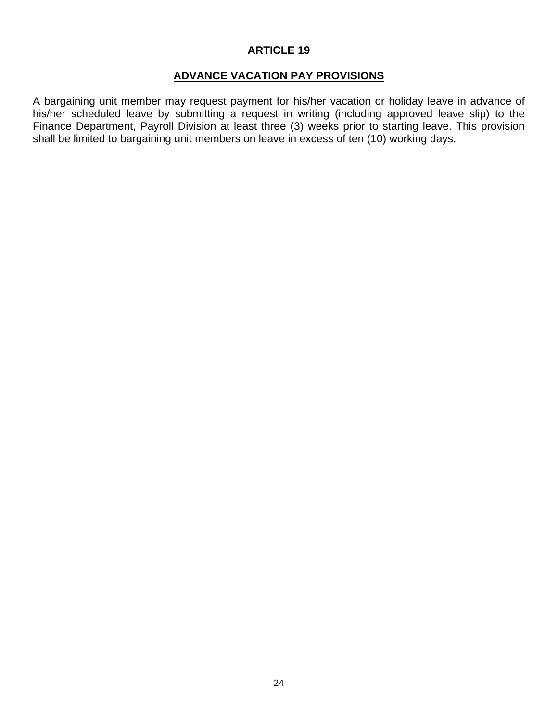# **ADVANCE VACATION PAY PROVISIONS**

A bargaining unit member may request payment for his/her vacation or holiday leave in advance of his/her scheduled leave by submitting a request in writing (including approved leave slip) to the Finance Department, Payroll Division at least three (3) weeks prior to starting leave. This provision shall be limited to bargaining unit members on leave in excess of ten (10) working days.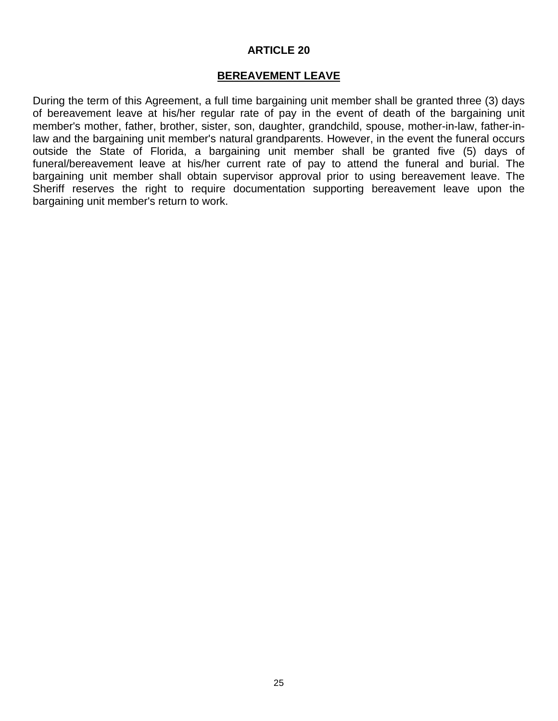#### **BEREAVEMENT LEAVE**

During the term of this Agreement, a full time bargaining unit member shall be granted three (3) days of bereavement leave at his/her regular rate of pay in the event of death of the bargaining unit member's mother, father, brother, sister, son, daughter, grandchild, spouse, mother-in-law, father-inlaw and the bargaining unit member's natural grandparents. However, in the event the funeral occurs outside the State of Florida, a bargaining unit member shall be granted five (5) days of funeral/bereavement leave at his/her current rate of pay to attend the funeral and burial. The bargaining unit member shall obtain supervisor approval prior to using bereavement leave. The Sheriff reserves the right to require documentation supporting bereavement leave upon the bargaining unit member's return to work.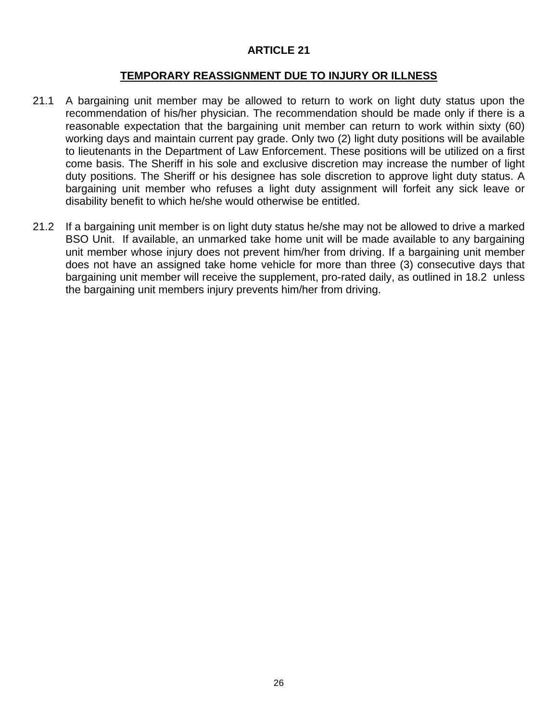#### **TEMPORARY REASSIGNMENT DUE TO INJURY OR ILLNESS**

- 21.1 A bargaining unit member may be allowed to return to work on light duty status upon the recommendation of his/her physician. The recommendation should be made only if there is a reasonable expectation that the bargaining unit member can return to work within sixty (60) working days and maintain current pay grade. Only two (2) light duty positions will be available to lieutenants in the Department of Law Enforcement. These positions will be utilized on a first come basis. The Sheriff in his sole and exclusive discretion may increase the number of light duty positions. The Sheriff or his designee has sole discretion to approve light duty status. A bargaining unit member who refuses a light duty assignment will forfeit any sick leave or disability benefit to which he/she would otherwise be entitled.
- 21.2 If a bargaining unit member is on light duty status he/she may not be allowed to drive a marked BSO Unit. If available, an unmarked take home unit will be made available to any bargaining unit member whose injury does not prevent him/her from driving. If a bargaining unit member does not have an assigned take home vehicle for more than three (3) consecutive days that bargaining unit member will receive the supplement, pro-rated daily, as outlined in 18.2 unless the bargaining unit members injury prevents him/her from driving.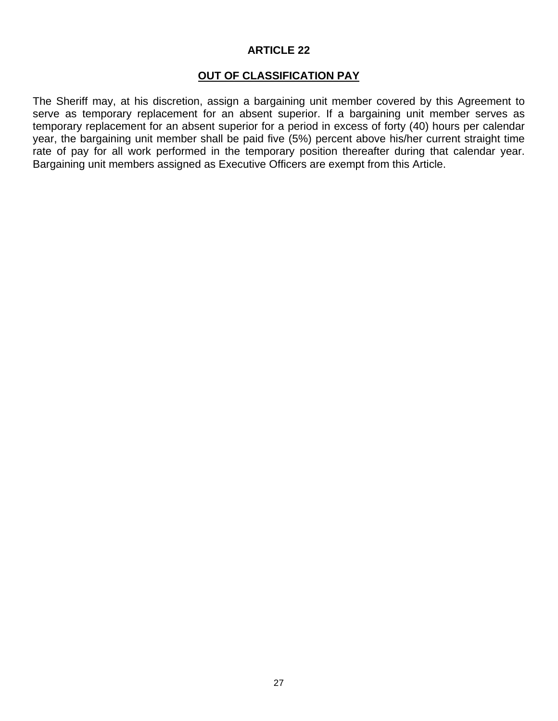# **OUT OF CLASSIFICATION PAY**

The Sheriff may, at his discretion, assign a bargaining unit member covered by this Agreement to serve as temporary replacement for an absent superior. If a bargaining unit member serves as temporary replacement for an absent superior for a period in excess of forty (40) hours per calendar year, the bargaining unit member shall be paid five (5%) percent above his/her current straight time rate of pay for all work performed in the temporary position thereafter during that calendar year. Bargaining unit members assigned as Executive Officers are exempt from this Article.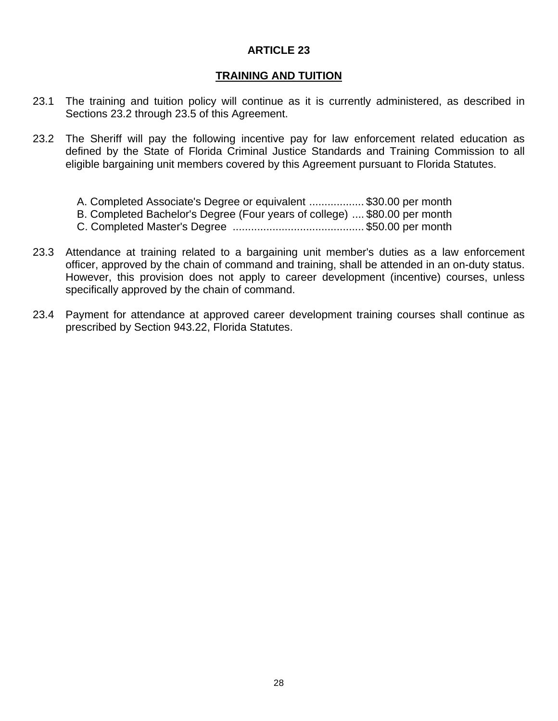### **TRAINING AND TUITION**

- 23.1 The training and tuition policy will continue as it is currently administered, as described in Sections 23.2 through 23.5 of this Agreement.
- 23.2 The Sheriff will pay the following incentive pay for law enforcement related education as defined by the State of Florida Criminal Justice Standards and Training Commission to all eligible bargaining unit members covered by this Agreement pursuant to Florida Statutes.
	- A. Completed Associate's Degree or equivalent .................. \$30.00 per month
	- B. Completed Bachelor's Degree (Four years of college) .... \$80.00 per month
	- C. Completed Master's Degree ........................................... \$50.00 per month
- 23.3 Attendance at training related to a bargaining unit member's duties as a law enforcement officer, approved by the chain of command and training, shall be attended in an on-duty status. However, this provision does not apply to career development (incentive) courses, unless specifically approved by the chain of command.
- 23.4 Payment for attendance at approved career development training courses shall continue as prescribed by Section 943.22, Florida Statutes.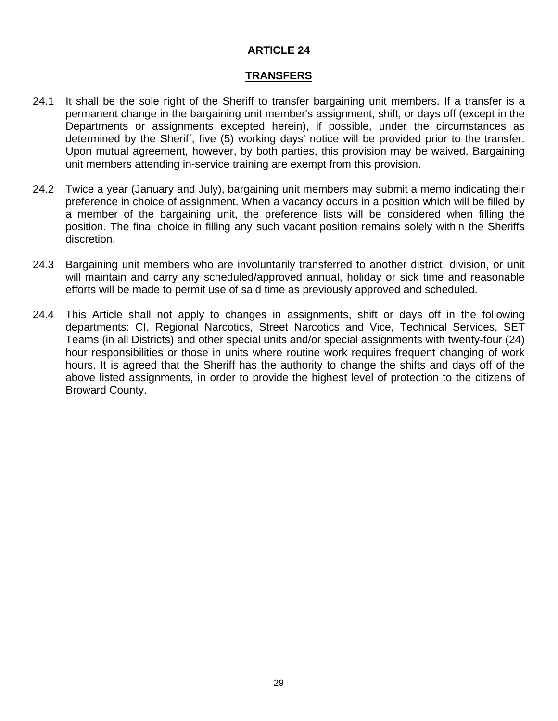#### **TRANSFERS**

- 24.1 It shall be the sole right of the Sheriff to transfer bargaining unit members. If a transfer is a permanent change in the bargaining unit member's assignment, shift, or days off (except in the Departments or assignments excepted herein), if possible, under the circumstances as determined by the Sheriff, five (5) working days' notice will be provided prior to the transfer. Upon mutual agreement, however, by both parties, this provision may be waived. Bargaining unit members attending in-service training are exempt from this provision.
- 24.2 Twice a year (January and July), bargaining unit members may submit a memo indicating their preference in choice of assignment. When a vacancy occurs in a position which will be filled by a member of the bargaining unit, the preference lists will be considered when filling the position. The final choice in filling any such vacant position remains solely within the Sheriffs discretion.
- 24.3 Bargaining unit members who are involuntarily transferred to another district, division, or unit will maintain and carry any scheduled/approved annual, holiday or sick time and reasonable efforts will be made to permit use of said time as previously approved and scheduled.
- 24.4 This Article shall not apply to changes in assignments, shift or days off in the following departments: CI, Regional Narcotics, Street Narcotics and Vice, Technical Services, SET Teams (in all Districts) and other special units and/or special assignments with twenty-four (24) hour responsibilities or those in units where routine work requires frequent changing of work hours. It is agreed that the Sheriff has the authority to change the shifts and days off of the above listed assignments, in order to provide the highest level of protection to the citizens of Broward County.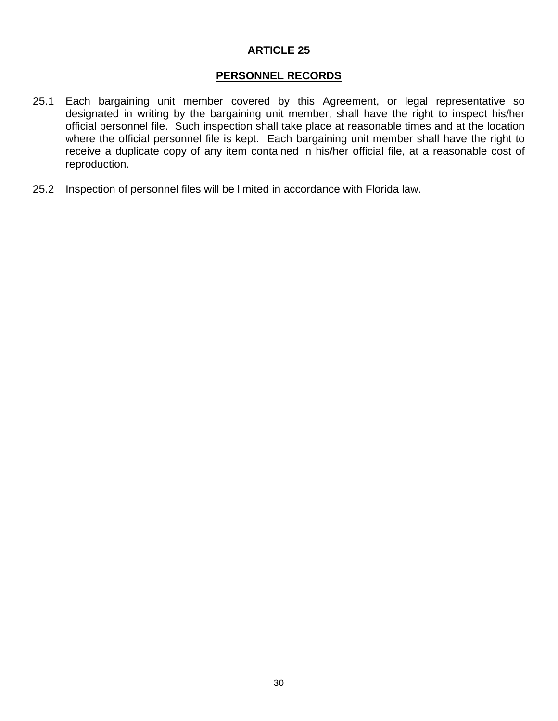# **PERSONNEL RECORDS**

- 25.1 Each bargaining unit member covered by this Agreement, or legal representative so designated in writing by the bargaining unit member, shall have the right to inspect his/her official personnel file. Such inspection shall take place at reasonable times and at the location where the official personnel file is kept. Each bargaining unit member shall have the right to receive a duplicate copy of any item contained in his/her official file, at a reasonable cost of reproduction.
- 25.2 Inspection of personnel files will be limited in accordance with Florida law.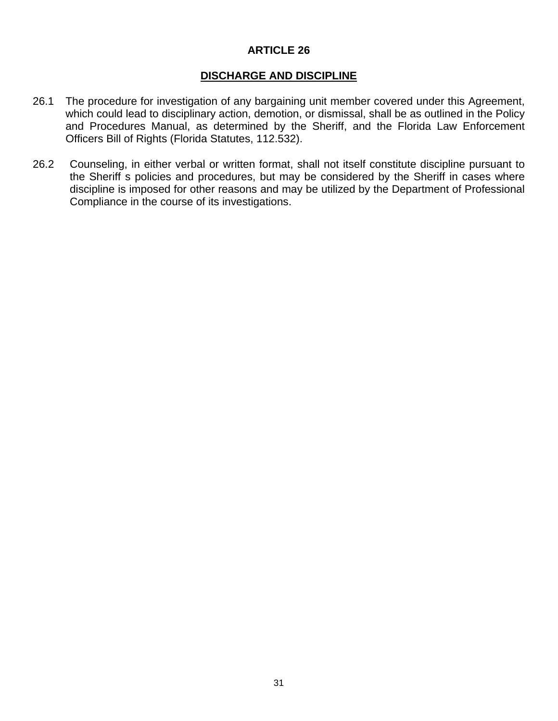# **DISCHARGE AND DISCIPLINE**

- 26.1 The procedure for investigation of any bargaining unit member covered under this Agreement, which could lead to disciplinary action, demotion, or dismissal, shall be as outlined in the Policy and Procedures Manual, as determined by the Sheriff, and the Florida Law Enforcement Officers Bill of Rights (Florida Statutes, 112.532).
- 26.2 Counseling, in either verbal or written format, shall not itself constitute discipline pursuant to the Sheriff s policies and procedures, but may be considered by the Sheriff in cases where discipline is imposed for other reasons and may be utilized by the Department of Professional Compliance in the course of its investigations.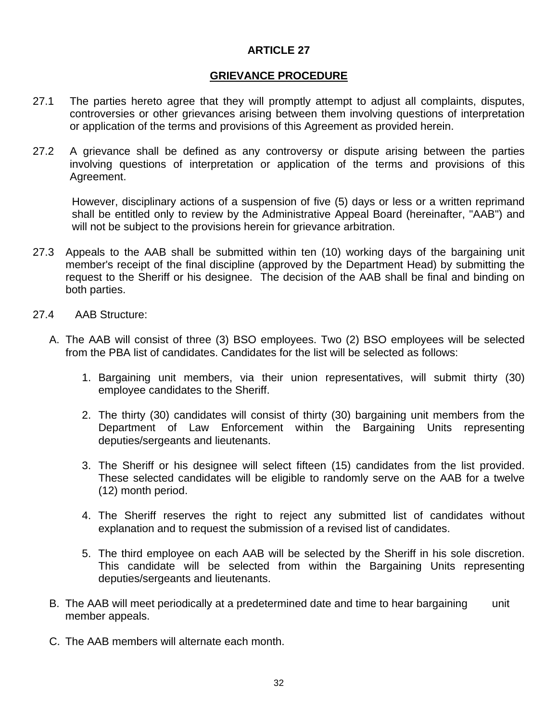#### **GRIEVANCE PROCEDURE**

- 27.1 The parties hereto agree that they will promptly attempt to adjust all complaints, disputes, controversies or other grievances arising between them involving questions of interpretation or application of the terms and provisions of this Agreement as provided herein.
- 27.2 A grievance shall be defined as any controversy or dispute arising between the parties involving questions of interpretation or application of the terms and provisions of this Agreement.

However, disciplinary actions of a suspension of five (5) days or less or a written reprimand shall be entitled only to review by the Administrative Appeal Board (hereinafter, "AAB") and will not be subject to the provisions herein for grievance arbitration.

- 27.3 Appeals to the AAB shall be submitted within ten (10) working days of the bargaining unit member's receipt of the final discipline (approved by the Department Head) by submitting the request to the Sheriff or his designee. The decision of the AAB shall be final and binding on both parties.
- 27.4 AAB Structure:
	- A. The AAB will consist of three (3) BSO employees. Two (2) BSO employees will be selected from the PBA list of candidates. Candidates for the list will be selected as follows:
		- 1. Bargaining unit members, via their union representatives, will submit thirty (30) employee candidates to the Sheriff.
		- 2. The thirty (30) candidates will consist of thirty (30) bargaining unit members from the Department of Law Enforcement within the Bargaining Units representing deputies/sergeants and lieutenants.
		- 3. The Sheriff or his designee will select fifteen (15) candidates from the list provided. These selected candidates will be eligible to randomly serve on the AAB for a twelve (12) month period.
		- 4. The Sheriff reserves the right to reject any submitted list of candidates without explanation and to request the submission of a revised list of candidates.
		- 5. The third employee on each AAB will be selected by the Sheriff in his sole discretion. This candidate will be selected from within the Bargaining Units representing deputies/sergeants and lieutenants.
	- B. The AAB will meet periodically at a predetermined date and time to hear bargaining unit member appeals.
	- C. The AAB members will alternate each month.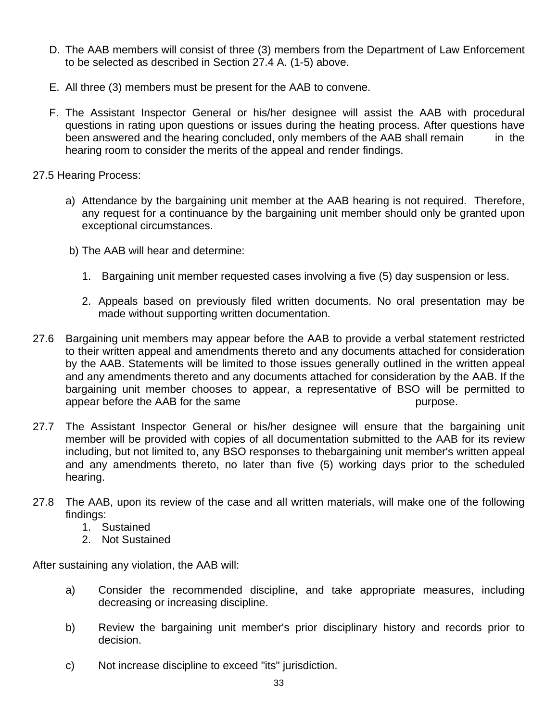- D. The AAB members will consist of three (3) members from the Department of Law Enforcement to be selected as described in Section 27.4 A. (1-5) above.
- E. All three (3) members must be present for the AAB to convene.
- F. The Assistant Inspector General or his/her designee will assist the AAB with procedural questions in rating upon questions or issues during the heating process. After questions have been answered and the hearing concluded, only members of the AAB shall remain in the hearing room to consider the merits of the appeal and render findings.

# 27.5 Hearing Process:

- a) Attendance by the bargaining unit member at the AAB hearing is not required. Therefore, any request for a continuance by the bargaining unit member should only be granted upon exceptional circumstances.
- b) The AAB will hear and determine:
	- 1. Bargaining unit member requested cases involving a five (5) day suspension or less.
	- 2. Appeals based on previously filed written documents. No oral presentation may be made without supporting written documentation.
- 27.6 Bargaining unit members may appear before the AAB to provide a verbal statement restricted to their written appeal and amendments thereto and any documents attached for consideration by the AAB. Statements will be limited to those issues generally outlined in the written appeal and any amendments thereto and any documents attached for consideration by the AAB. If the bargaining unit member chooses to appear, a representative of BSO will be permitted to appear before the AAB for the same purpose.
- 27.7 The Assistant Inspector General or his/her designee will ensure that the bargaining unit member will be provided with copies of all documentation submitted to the AAB for its review including, but not limited to, any BSO responses to thebargaining unit member's written appeal and any amendments thereto, no later than five (5) working days prior to the scheduled hearing.
- 27.8 The AAB, upon its review of the case and all written materials, will make one of the following findings:
	- 1. Sustained
	- 2. Not Sustained

After sustaining any violation, the AAB will:

- a) Consider the recommended discipline, and take appropriate measures, including decreasing or increasing discipline.
- b) Review the bargaining unit member's prior disciplinary history and records prior to decision.
- c) Not increase discipline to exceed "its" jurisdiction.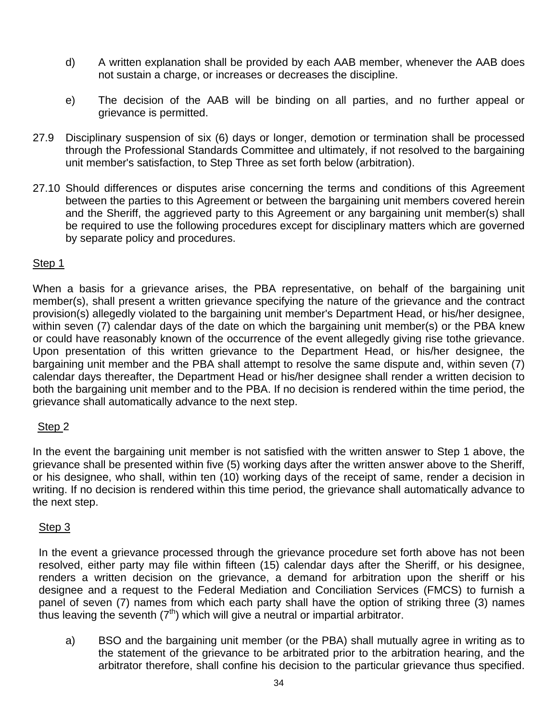- d) A written explanation shall be provided by each AAB member, whenever the AAB does not sustain a charge, or increases or decreases the discipline.
- e) The decision of the AAB will be binding on all parties, and no further appeal or grievance is permitted.
- 27.9 Disciplinary suspension of six (6) days or longer, demotion or termination shall be processed through the Professional Standards Committee and ultimately, if not resolved to the bargaining unit member's satisfaction, to Step Three as set forth below (arbitration).
- 27.10 Should differences or disputes arise concerning the terms and conditions of this Agreement between the parties to this Agreement or between the bargaining unit members covered herein and the Sheriff, the aggrieved party to this Agreement or any bargaining unit member(s) shall be required to use the following procedures except for disciplinary matters which are governed by separate policy and procedures.

### Step 1

When a basis for a grievance arises, the PBA representative, on behalf of the bargaining unit member(s), shall present a written grievance specifying the nature of the grievance and the contract provision(s) allegedly violated to the bargaining unit member's Department Head, or his/her designee, within seven (7) calendar days of the date on which the bargaining unit member(s) or the PBA knew or could have reasonably known of the occurrence of the event allegedly giving rise tothe grievance. Upon presentation of this written grievance to the Department Head, or his/her designee, the bargaining unit member and the PBA shall attempt to resolve the same dispute and, within seven (7) calendar days thereafter, the Department Head or his/her designee shall render a written decision to both the bargaining unit member and to the PBA. If no decision is rendered within the time period, the grievance shall automatically advance to the next step.

# Step 2

In the event the bargaining unit member is not satisfied with the written answer to Step 1 above, the grievance shall be presented within five (5) working days after the written answer above to the Sheriff, or his designee, who shall, within ten (10) working days of the receipt of same, render a decision in writing. If no decision is rendered within this time period, the grievance shall automatically advance to the next step.

### Step 3

In the event a grievance processed through the grievance procedure set forth above has not been resolved, either party may file within fifteen (15) calendar days after the Sheriff, or his designee, renders a written decision on the grievance, a demand for arbitration upon the sheriff or his designee and a request to the Federal Mediation and Conciliation Services (FMCS) to furnish a panel of seven (7) names from which each party shall have the option of striking three (3) names thus leaving the seventh  $(7<sup>th</sup>)$  which will give a neutral or impartial arbitrator.

a) BSO and the bargaining unit member (or the PBA) shall mutually agree in writing as to the statement of the grievance to be arbitrated prior to the arbitration hearing, and the arbitrator therefore, shall confine his decision to the particular grievance thus specified.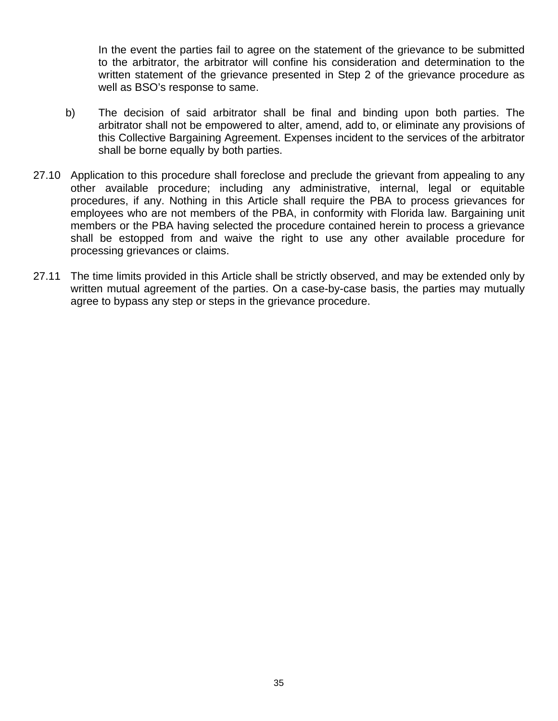In the event the parties fail to agree on the statement of the grievance to be submitted to the arbitrator, the arbitrator will confine his consideration and determination to the written statement of the grievance presented in Step 2 of the grievance procedure as well as BSO's response to same.

- b) The decision of said arbitrator shall be final and binding upon both parties. The arbitrator shall not be empowered to alter, amend, add to, or eliminate any provisions of this Collective Bargaining Agreement. Expenses incident to the services of the arbitrator shall be borne equally by both parties.
- 27.10 Application to this procedure shall foreclose and preclude the grievant from appealing to any other available procedure; including any administrative, internal, legal or equitable procedures, if any. Nothing in this Article shall require the PBA to process grievances for employees who are not members of the PBA, in conformity with Florida law. Bargaining unit members or the PBA having selected the procedure contained herein to process a grievance shall be estopped from and waive the right to use any other available procedure for processing grievances or claims.
- 27.11 The time limits provided in this Article shall be strictly observed, and may be extended only by written mutual agreement of the parties. On a case-by-case basis, the parties may mutually agree to bypass any step or steps in the grievance procedure.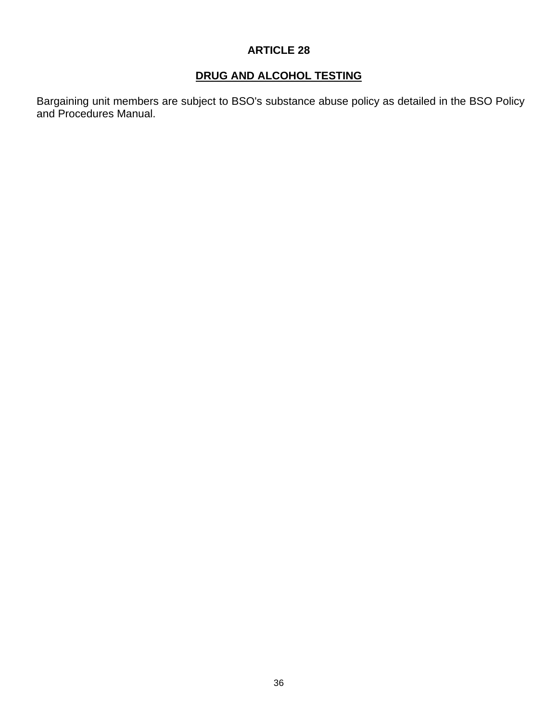# **DRUG AND ALCOHOL TESTING**

Bargaining unit members are subject to BSO's substance abuse policy as detailed in the BSO Policy and Procedures Manual.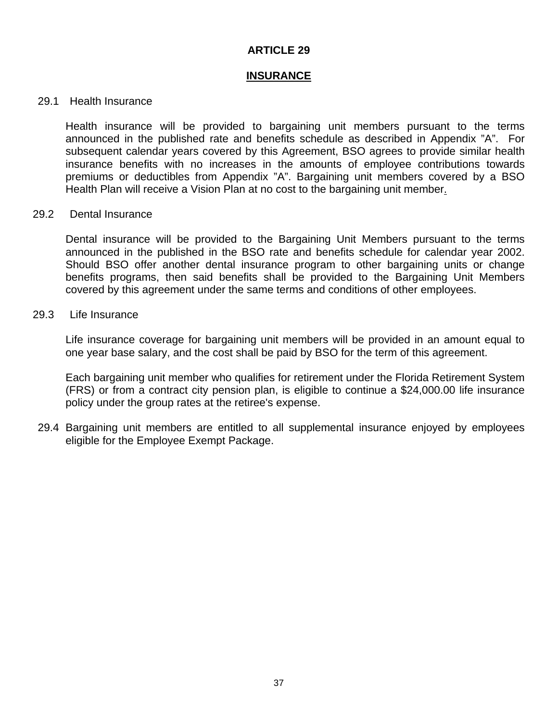#### **INSURANCE**

#### 29.1 Health Insurance

Health insurance will be provided to bargaining unit members pursuant to the terms announced in the published rate and benefits schedule as described in Appendix "A". For subsequent calendar years covered by this Agreement, BSO agrees to provide similar health insurance benefits with no increases in the amounts of employee contributions towards premiums or deductibles from Appendix "A". Bargaining unit members covered by a BSO Health Plan will receive a Vision Plan at no cost to the bargaining unit member.

#### 29.2 Dental Insurance

Dental insurance will be provided to the Bargaining Unit Members pursuant to the terms announced in the published in the BSO rate and benefits schedule for calendar year 2002. Should BSO offer another dental insurance program to other bargaining units or change benefits programs, then said benefits shall be provided to the Bargaining Unit Members covered by this agreement under the same terms and conditions of other employees.

#### 29.3 Life Insurance

Life insurance coverage for bargaining unit members will be provided in an amount equal to one year base salary, and the cost shall be paid by BSO for the term of this agreement.

Each bargaining unit member who qualifies for retirement under the Florida Retirement System (FRS) or from a contract city pension plan, is eligible to continue a \$24,000.00 life insurance policy under the group rates at the retiree's expense.

 29.4 Bargaining unit members are entitled to all supplemental insurance enjoyed by employees eligible for the Employee Exempt Package.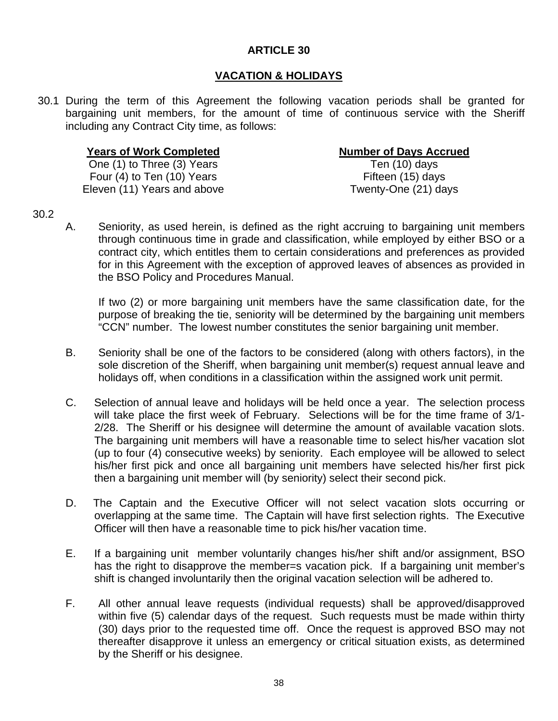# **VACATION & HOLIDAYS**

 30.1 During the term of this Agreement the following vacation periods shall be granted for bargaining unit members, for the amount of time of continuous service with the Sheriff including any Contract City time, as follows:

#### **Years of Work Completed Number of Days Accrued**

One (1) to Three (3) Years Ten (10) days Four (4) to Ten (10) Years Fifteen (15) days Eleven (11) Years and above Twenty-One (21) days

- 30.2
- A. Seniority, as used herein, is defined as the right accruing to bargaining unit members through continuous time in grade and classification, while employed by either BSO or a contract city, which entitles them to certain considerations and preferences as provided for in this Agreement with the exception of approved leaves of absences as provided in the BSO Policy and Procedures Manual.

If two (2) or more bargaining unit members have the same classification date, for the purpose of breaking the tie, seniority will be determined by the bargaining unit members "CCN" number. The lowest number constitutes the senior bargaining unit member.

- B. Seniority shall be one of the factors to be considered (along with others factors), in the sole discretion of the Sheriff, when bargaining unit member(s) request annual leave and holidays off, when conditions in a classification within the assigned work unit permit.
- C. Selection of annual leave and holidays will be held once a year. The selection process will take place the first week of February. Selections will be for the time frame of 3/1- 2/28. The Sheriff or his designee will determine the amount of available vacation slots. The bargaining unit members will have a reasonable time to select his/her vacation slot (up to four (4) consecutive weeks) by seniority. Each employee will be allowed to select his/her first pick and once all bargaining unit members have selected his/her first pick then a bargaining unit member will (by seniority) select their second pick.
- D. The Captain and the Executive Officer will not select vacation slots occurring or overlapping at the same time. The Captain will have first selection rights. The Executive Officer will then have a reasonable time to pick his/her vacation time.
- E. If a bargaining unit member voluntarily changes his/her shift and/or assignment, BSO has the right to disapprove the member=s vacation pick. If a bargaining unit member's shift is changed involuntarily then the original vacation selection will be adhered to.
- F. All other annual leave requests (individual requests) shall be approved/disapproved within five (5) calendar days of the request. Such requests must be made within thirty (30) days prior to the requested time off. Once the request is approved BSO may not thereafter disapprove it unless an emergency or critical situation exists, as determined by the Sheriff or his designee.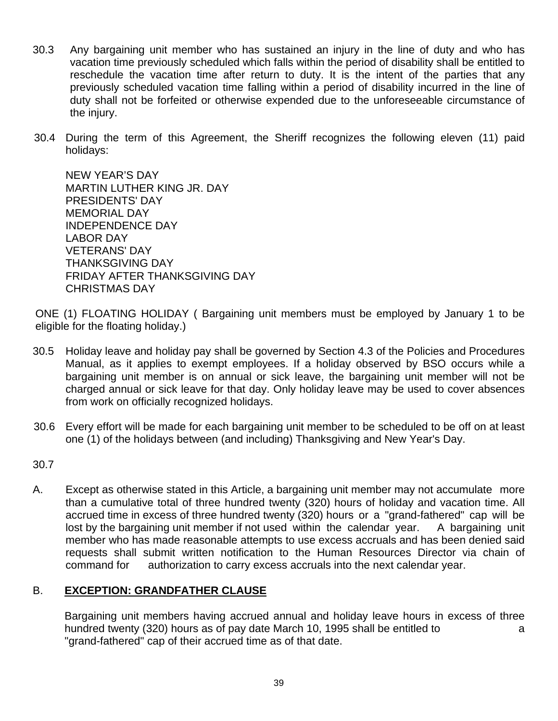- 30.3 Any bargaining unit member who has sustained an injury in the line of duty and who has vacation time previously scheduled which falls within the period of disability shall be entitled to reschedule the vacation time after return to duty. It is the intent of the parties that any previously scheduled vacation time falling within a period of disability incurred in the line of duty shall not be forfeited or otherwise expended due to the unforeseeable circumstance of the injury.
- 30.4 During the term of this Agreement, the Sheriff recognizes the following eleven (11) paid holidays:

NEW YEAR'S DAY MARTIN LUTHER KING JR. DAY PRESIDENTS' DAY MEMORIAL DAY INDEPENDENCE DAY LABOR DAY VETERANS' DAY THANKSGIVING DAY FRIDAY AFTER THANKSGIVING DAY CHRISTMAS DAY

ONE (1) FLOATING HOLIDAY ( Bargaining unit members must be employed by January 1 to be eligible for the floating holiday.)

- 30.5 Holiday leave and holiday pay shall be governed by Section 4.3 of the Policies and Procedures Manual, as it applies to exempt employees. If a holiday observed by BSO occurs while a bargaining unit member is on annual or sick leave, the bargaining unit member will not be charged annual or sick leave for that day. Only holiday leave may be used to cover absences from work on officially recognized holidays.
- 30.6 Every effort will be made for each bargaining unit member to be scheduled to be off on at least one (1) of the holidays between (and including) Thanksgiving and New Year's Day.

30.7

A. Except as otherwise stated in this Article, a bargaining unit member may not accumulate more than a cumulative total of three hundred twenty (320) hours of holiday and vacation time. All accrued time in excess of three hundred twenty (320) hours or a "grand-fathered" cap will be lost by the bargaining unit member if not used within the calendar year. A bargaining unit member who has made reasonable attempts to use excess accruals and has been denied said requests shall submit written notification to the Human Resources Director via chain of command for authorization to carry excess accruals into the next calendar year.

# B. **EXCEPTION: GRANDFATHER CLAUSE**

Bargaining unit members having accrued annual and holiday leave hours in excess of three hundred twenty (320) hours as of pay date March 10, 1995 shall be entitled to a "grand-fathered" cap of their accrued time as of that date.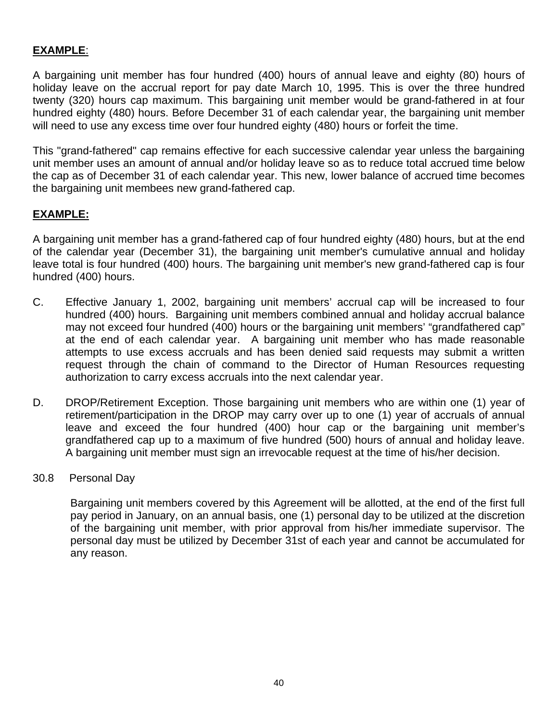# **EXAMPLE**:

A bargaining unit member has four hundred (400) hours of annual leave and eighty (80) hours of holiday leave on the accrual report for pay date March 10, 1995. This is over the three hundred twenty (320) hours cap maximum. This bargaining unit member would be grand-fathered in at four hundred eighty (480) hours. Before December 31 of each calendar year, the bargaining unit member will need to use any excess time over four hundred eighty (480) hours or forfeit the time.

This "grand-fathered" cap remains effective for each successive calendar year unless the bargaining unit member uses an amount of annual and/or holiday leave so as to reduce total accrued time below the cap as of December 31 of each calendar year. This new, lower balance of accrued time becomes the bargaining unit membees new grand-fathered cap.

# **EXAMPLE:**

A bargaining unit member has a grand-fathered cap of four hundred eighty (480) hours, but at the end of the calendar year (December 31), the bargaining unit member's cumulative annual and holiday leave total is four hundred (400) hours. The bargaining unit member's new grand-fathered cap is four hundred (400) hours.

- C. Effective January 1, 2002, bargaining unit members' accrual cap will be increased to four hundred (400) hours. Bargaining unit members combined annual and holiday accrual balance may not exceed four hundred (400) hours or the bargaining unit members' "grandfathered cap" at the end of each calendar year. A bargaining unit member who has made reasonable attempts to use excess accruals and has been denied said requests may submit a written request through the chain of command to the Director of Human Resources requesting authorization to carry excess accruals into the next calendar year.
- D. DROP/Retirement Exception. Those bargaining unit members who are within one (1) year of retirement/participation in the DROP may carry over up to one (1) year of accruals of annual leave and exceed the four hundred (400) hour cap or the bargaining unit member's grandfathered cap up to a maximum of five hundred (500) hours of annual and holiday leave. A bargaining unit member must sign an irrevocable request at the time of his/her decision.
- 30.8 Personal Day

Bargaining unit members covered by this Agreement will be allotted, at the end of the first full pay period in January, on an annual basis, one (1) personal day to be utilized at the discretion of the bargaining unit member, with prior approval from his/her immediate supervisor. The personal day must be utilized by December 31st of each year and cannot be accumulated for any reason.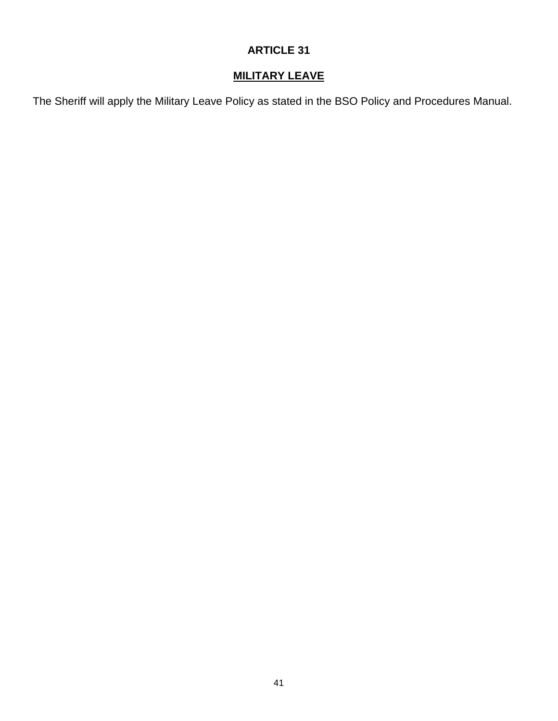# **MILITARY LEAVE**

The Sheriff will apply the Military Leave Policy as stated in the BSO Policy and Procedures Manual.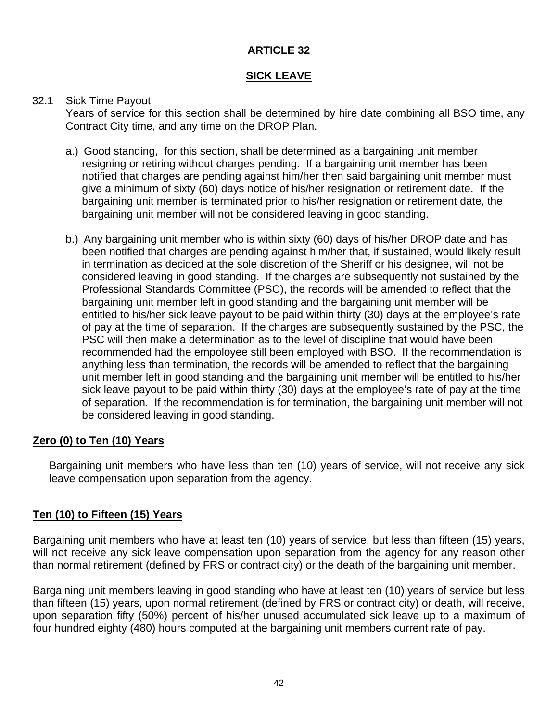# **SICK LEAVE**

# 32.1 Sick Time Payout

Years of service for this section shall be determined by hire date combining all BSO time, any Contract City time, and any time on the DROP Plan.

- a.) Good standing, for this section, shall be determined as a bargaining unit member resigning or retiring without charges pending. If a bargaining unit member has been notified that charges are pending against him/her then said bargaining unit member must give a minimum of sixty (60) days notice of his/her resignation or retirement date. If the bargaining unit member is terminated prior to his/her resignation or retirement date, the bargaining unit member will not be considered leaving in good standing.
- b.) Any bargaining unit member who is within sixty (60) days of his/her DROP date and has been notified that charges are pending against him/her that, if sustained, would likely result in termination as decided at the sole discretion of the Sheriff or his designee, will not be considered leaving in good standing. If the charges are subsequently not sustained by the Professional Standards Committee (PSC), the records will be amended to reflect that the bargaining unit member left in good standing and the bargaining unit member will be entitled to his/her sick leave payout to be paid within thirty (30) days at the employee's rate of pay at the time of separation. If the charges are subsequently sustained by the PSC, the PSC will then make a determination as to the level of discipline that would have been recommended had the empoloyee still been employed with BSO. If the recommendation is anything less than termination, the records will be amended to reflect that the bargaining unit member left in good standing and the bargaining unit member will be entitled to his/her sick leave payout to be paid within thirty (30) days at the employee's rate of pay at the time of separation. If the recommendation is for termination, the bargaining unit member will not be considered leaving in good standing.

# **Zero (0) to Ten (10) Years**

Bargaining unit members who have less than ten (10) years of service, will not receive any sick leave compensation upon separation from the agency.

# **Ten (10) to Fifteen (15) Years**

Bargaining unit members who have at least ten (10) years of service, but less than fifteen (15) years, will not receive any sick leave compensation upon separation from the agency for any reason other than normal retirement (defined by FRS or contract city) or the death of the bargaining unit member.

Bargaining unit members leaving in good standing who have at least ten (10) years of service but less than fifteen (15) years, upon normal retirement (defined by FRS or contract city) or death, will receive, upon separation fifty (50%) percent of his/her unused accumulated sick leave up to a maximum of four hundred eighty (480) hours computed at the bargaining unit members current rate of pay.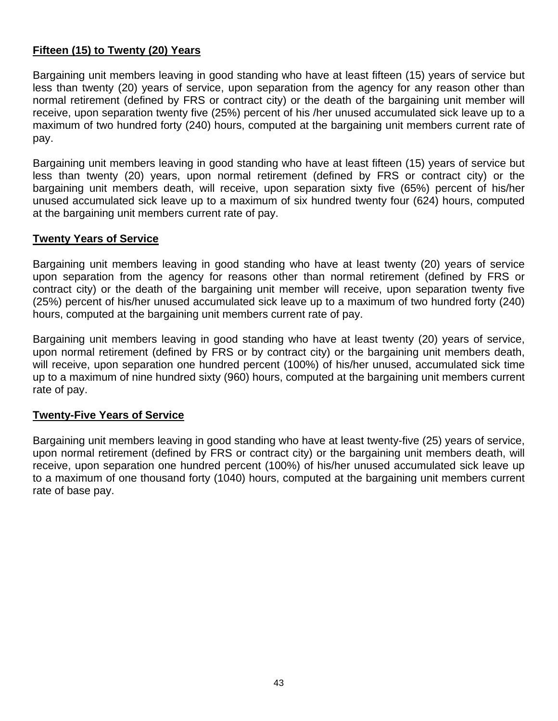# **Fifteen (15) to Twenty (20) Years**

Bargaining unit members leaving in good standing who have at least fifteen (15) years of service but less than twenty (20) years of service, upon separation from the agency for any reason other than normal retirement (defined by FRS or contract city) or the death of the bargaining unit member will receive, upon separation twenty five (25%) percent of his /her unused accumulated sick leave up to a maximum of two hundred forty (240) hours, computed at the bargaining unit members current rate of pay.

Bargaining unit members leaving in good standing who have at least fifteen (15) years of service but less than twenty (20) years, upon normal retirement (defined by FRS or contract city) or the bargaining unit members death, will receive, upon separation sixty five (65%) percent of his/her unused accumulated sick leave up to a maximum of six hundred twenty four (624) hours, computed at the bargaining unit members current rate of pay.

# **Twenty Years of Service**

Bargaining unit members leaving in good standing who have at least twenty (20) years of service upon separation from the agency for reasons other than normal retirement (defined by FRS or contract city) or the death of the bargaining unit member will receive, upon separation twenty five (25%) percent of his/her unused accumulated sick leave up to a maximum of two hundred forty (240) hours, computed at the bargaining unit members current rate of pay.

Bargaining unit members leaving in good standing who have at least twenty (20) years of service, upon normal retirement (defined by FRS or by contract city) or the bargaining unit members death, will receive, upon separation one hundred percent (100%) of his/her unused, accumulated sick time up to a maximum of nine hundred sixty (960) hours, computed at the bargaining unit members current rate of pay.

# **Twenty-Five Years of Service**

Bargaining unit members leaving in good standing who have at least twenty-five (25) years of service, upon normal retirement (defined by FRS or contract city) or the bargaining unit members death, will receive, upon separation one hundred percent (100%) of his/her unused accumulated sick leave up to a maximum of one thousand forty (1040) hours, computed at the bargaining unit members current rate of base pay.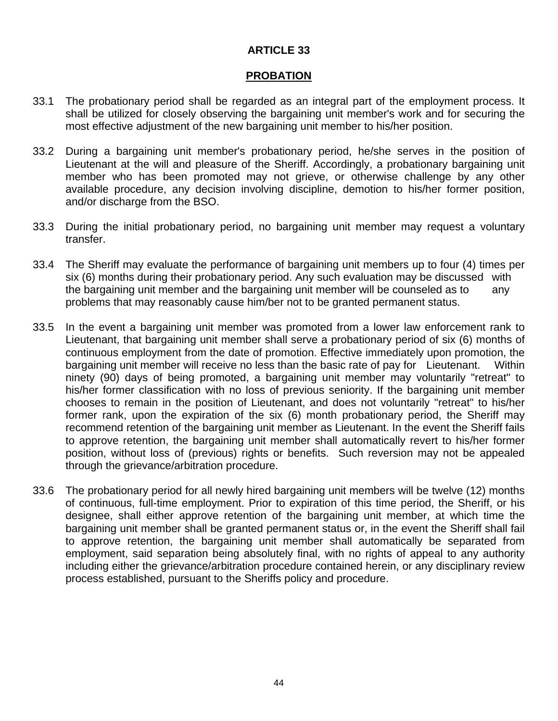#### **PROBATION**

- 33.1 The probationary period shall be regarded as an integral part of the employment process. It shall be utilized for closely observing the bargaining unit member's work and for securing the most effective adjustment of the new bargaining unit member to his/her position.
- 33.2 During a bargaining unit member's probationary period, he/she serves in the position of Lieutenant at the will and pleasure of the Sheriff. Accordingly, a probationary bargaining unit member who has been promoted may not grieve, or otherwise challenge by any other available procedure, any decision involving discipline, demotion to his/her former position, and/or discharge from the BSO.
- 33.3 During the initial probationary period, no bargaining unit member may request a voluntary transfer.
- 33.4 The Sheriff may evaluate the performance of bargaining unit members up to four (4) times per six (6) months during their probationary period. Any such evaluation may be discussed with the bargaining unit member and the bargaining unit member will be counseled as to any problems that may reasonably cause him/ber not to be granted permanent status.
- 33.5 In the event a bargaining unit member was promoted from a lower law enforcement rank to Lieutenant, that bargaining unit member shall serve a probationary period of six (6) months of continuous employment from the date of promotion. Effective immediately upon promotion, the bargaining unit member will receive no less than the basic rate of pay for Lieutenant. Within ninety (90) days of being promoted, a bargaining unit member may voluntarily "retreat" to his/her former classification with no loss of previous seniority. If the bargaining unit member chooses to remain in the position of Lieutenant, and does not voluntarily "retreat" to his/her former rank, upon the expiration of the six (6) month probationary period, the Sheriff may recommend retention of the bargaining unit member as Lieutenant. In the event the Sheriff fails to approve retention, the bargaining unit member shall automatically revert to his/her former position, without loss of (previous) rights or benefits. Such reversion may not be appealed through the grievance/arbitration procedure.
- 33.6 The probationary period for all newly hired bargaining unit members will be twelve (12) months of continuous, full-time employment. Prior to expiration of this time period, the Sheriff, or his designee, shall either approve retention of the bargaining unit member, at which time the bargaining unit member shall be granted permanent status or, in the event the Sheriff shall fail to approve retention, the bargaining unit member shall automatically be separated from employment, said separation being absolutely final, with no rights of appeal to any authority including either the grievance/arbitration procedure contained herein, or any disciplinary review process established, pursuant to the Sheriffs policy and procedure.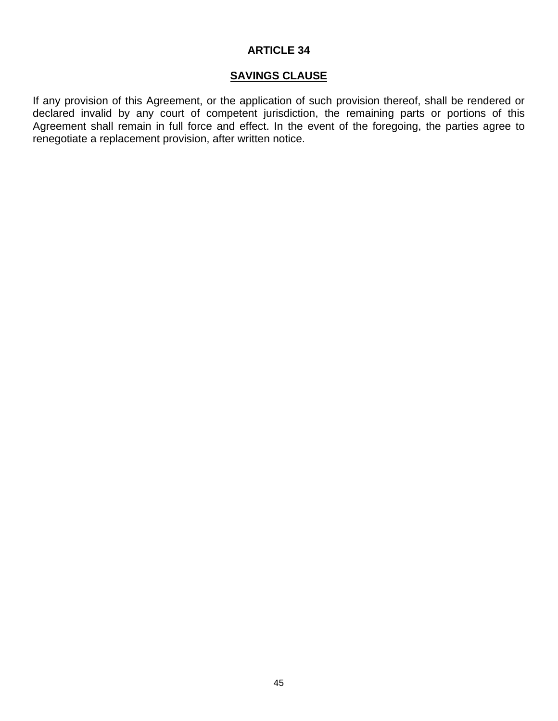# **SAVINGS CLAUSE**

If any provision of this Agreement, or the application of such provision thereof, shall be rendered or declared invalid by any court of competent jurisdiction, the remaining parts or portions of this Agreement shall remain in full force and effect. In the event of the foregoing, the parties agree to renegotiate a replacement provision, after written notice.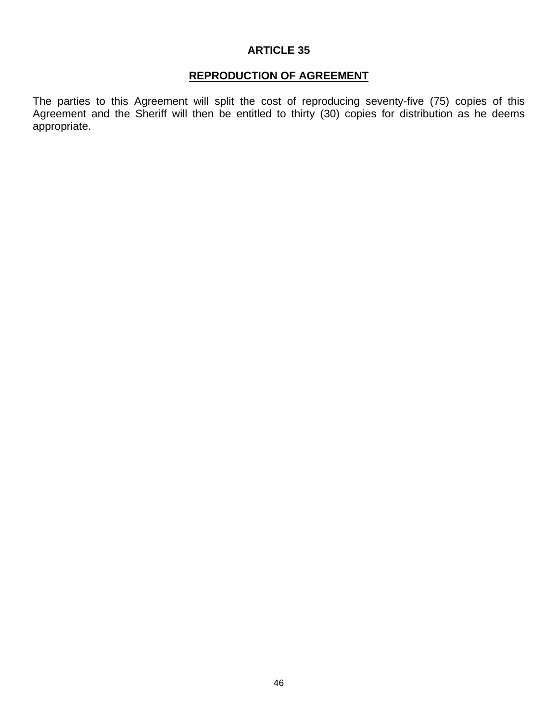# **REPRODUCTION OF AGREEMENT**

The parties to this Agreement will split the cost of reproducing seventy-five (75) copies of this Agreement and the Sheriff will then be entitled to thirty (30) copies for distribution as he deems appropriate.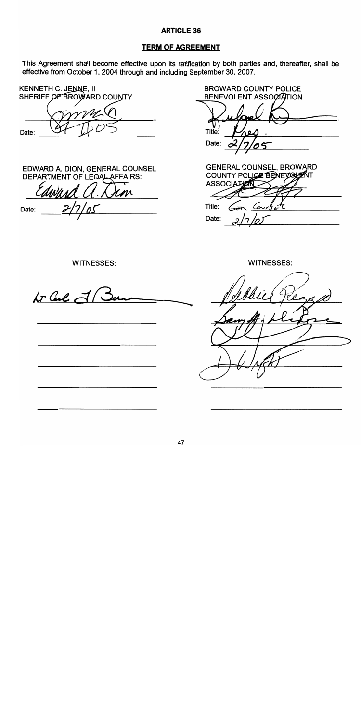#### **TERM OF AGREEMENT**

This Agreement shall become effective upon its ratification by both parties and, thereafter, shall be effective from October 1, 2004 through and including September 30, 2007.

**BROWARD COUNTY POLICE KENNETH C. JENNE, II** SHERIFF OF BROWARD COUNTY **BENEVOLENT ASSOCIATION** Title: Date: Date: **GENERAL COUNSEL, BROWARD** EDWARD A. DION, GENERAL COUNSEL COUNTY POLICE BENEVOLARIT **DEPARTMENT OF LEGAL AFFAIRS: ASSOCIATION** M Title: Coun Date: Date: **WITNESSES: WITNESSES:**  $kr$  Cul  $\vec{\lhd}$